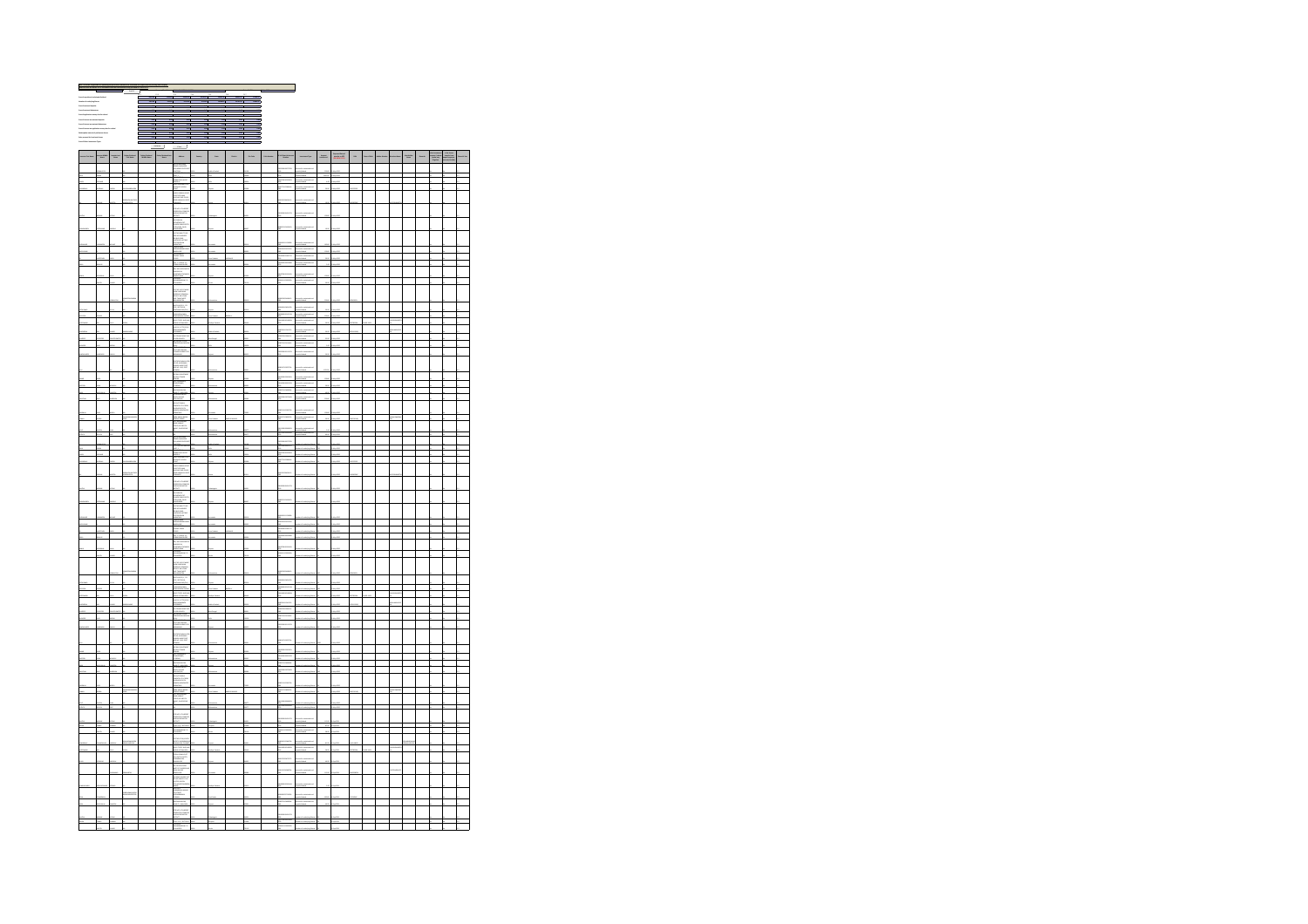|  |  |  |                                                     |  |             | $\overline{\phantom{a}}$ |                      |          |   |  |          |   |  |
|--|--|--|-----------------------------------------------------|--|-------------|--------------------------|----------------------|----------|---|--|----------|---|--|
|  |  |  |                                                     |  |             |                          |                      |          |   |  |          |   |  |
|  |  |  |                                                     |  |             |                          |                      |          |   |  |          |   |  |
|  |  |  |                                                     |  |             |                          |                      |          |   |  |          |   |  |
|  |  |  |                                                     |  |             |                          |                      |          |   |  |          |   |  |
|  |  |  |                                                     |  |             |                          |                      |          |   |  |          |   |  |
|  |  |  |                                                     |  |             |                          |                      |          |   |  |          |   |  |
|  |  |  |                                                     |  |             |                          |                      |          |   |  |          |   |  |
|  |  |  |                                                     |  |             |                          |                      |          |   |  |          |   |  |
|  |  |  |                                                     |  |             |                          |                      |          |   |  |          |   |  |
|  |  |  |                                                     |  | $\boxed{-}$ | $\mathbf{q}$             |                      | $\equiv$ | ÷ |  | $\equiv$ | H |  |
|  |  |  |                                                     |  |             |                          |                      |          |   |  |          |   |  |
|  |  |  |                                                     |  |             |                          |                      |          |   |  |          |   |  |
|  |  |  |                                                     |  |             |                          |                      |          |   |  |          |   |  |
|  |  |  |                                                     |  |             |                          |                      |          |   |  |          |   |  |
|  |  |  |                                                     |  |             |                          |                      |          |   |  |          |   |  |
|  |  |  |                                                     |  |             |                          |                      |          |   |  |          |   |  |
|  |  |  |                                                     |  |             |                          |                      |          |   |  |          |   |  |
|  |  |  |                                                     |  |             |                          |                      |          |   |  |          |   |  |
|  |  |  |                                                     |  |             |                          |                      |          |   |  |          |   |  |
|  |  |  | una.                                                |  |             |                          |                      |          |   |  |          |   |  |
|  |  |  |                                                     |  |             |                          |                      |          |   |  |          |   |  |
|  |  |  | ------<br>---------<br>---------<br>--------        |  |             |                          |                      |          |   |  |          |   |  |
|  |  |  |                                                     |  |             |                          |                      |          |   |  |          |   |  |
|  |  |  |                                                     |  |             |                          |                      |          |   |  |          |   |  |
|  |  |  | ÷,                                                  |  |             |                          |                      |          |   |  |          |   |  |
|  |  |  |                                                     |  |             |                          |                      |          |   |  |          |   |  |
|  |  |  | 1.12338, 2.1                                        |  |             |                          |                      |          |   |  |          |   |  |
|  |  |  |                                                     |  |             |                          |                      |          |   |  |          |   |  |
|  |  |  |                                                     |  |             |                          |                      |          |   |  |          |   |  |
|  |  |  |                                                     |  |             |                          |                      |          |   |  |          |   |  |
|  |  |  | of the cars a and<br>the home cars<br>cars in exame |  |             |                          |                      |          |   |  |          |   |  |
|  |  |  |                                                     |  |             |                          |                      |          |   |  |          |   |  |
|  |  |  | ang u                                               |  |             |                          |                      |          |   |  |          |   |  |
|  |  |  |                                                     |  |             |                          |                      |          |   |  |          |   |  |
|  |  |  |                                                     |  |             | -----                    | <b>Market Street</b> |          |   |  |          |   |  |
|  |  |  | ---                                                 |  |             |                          |                      |          |   |  |          |   |  |
|  |  |  |                                                     |  |             |                          | i.                   |          |   |  |          |   |  |
|  |  |  |                                                     |  |             |                          |                      |          |   |  |          |   |  |
|  |  |  | i<br>Matematika                                     |  |             |                          |                      |          |   |  |          |   |  |
|  |  |  |                                                     |  |             |                          |                      |          |   |  |          |   |  |
|  |  |  |                                                     |  |             |                          |                      |          |   |  |          |   |  |
|  |  |  |                                                     |  |             |                          |                      |          |   |  |          |   |  |
|  |  |  |                                                     |  |             |                          |                      |          |   |  |          |   |  |
|  |  |  |                                                     |  |             |                          |                      |          |   |  |          |   |  |
|  |  |  |                                                     |  |             |                          |                      |          |   |  |          |   |  |
|  |  |  | m                                                   |  |             |                          |                      |          |   |  |          |   |  |
|  |  |  |                                                     |  |             |                          |                      |          |   |  |          |   |  |
|  |  |  |                                                     |  |             |                          |                      |          |   |  |          |   |  |
|  |  |  |                                                     |  |             |                          |                      |          |   |  |          |   |  |
|  |  |  |                                                     |  |             |                          |                      |          |   |  |          |   |  |
|  |  |  |                                                     |  |             |                          |                      |          |   |  |          |   |  |
|  |  |  |                                                     |  |             |                          |                      |          |   |  |          |   |  |
|  |  |  |                                                     |  |             |                          |                      |          |   |  |          |   |  |
|  |  |  |                                                     |  |             |                          |                      |          |   |  |          |   |  |
|  |  |  |                                                     |  |             |                          |                      |          |   |  |          |   |  |
|  |  |  |                                                     |  |             |                          |                      |          |   |  |          |   |  |
|  |  |  |                                                     |  |             |                          |                      |          |   |  |          |   |  |
|  |  |  |                                                     |  |             |                          |                      |          |   |  |          |   |  |
|  |  |  |                                                     |  |             |                          |                      |          |   |  |          |   |  |
|  |  |  |                                                     |  |             |                          |                      |          |   |  |          |   |  |
|  |  |  |                                                     |  |             |                          |                      |          |   |  |          |   |  |
|  |  |  |                                                     |  |             |                          |                      |          |   |  |          |   |  |
|  |  |  |                                                     |  |             |                          |                      |          |   |  |          |   |  |
|  |  |  |                                                     |  |             |                          |                      |          |   |  |          |   |  |
|  |  |  |                                                     |  |             |                          |                      |          |   |  |          |   |  |
|  |  |  | É                                                   |  |             | ------                   |                      |          |   |  |          |   |  |
|  |  |  |                                                     |  |             |                          |                      |          |   |  |          |   |  |
|  |  |  |                                                     |  |             |                          |                      |          |   |  |          |   |  |
|  |  |  |                                                     |  |             |                          |                      |          |   |  |          |   |  |
|  |  |  |                                                     |  |             |                          |                      |          |   |  |          |   |  |
|  |  |  |                                                     |  |             |                          |                      |          |   |  |          |   |  |
|  |  |  |                                                     |  |             |                          |                      |          |   |  |          |   |  |
|  |  |  | ÷                                                   |  |             |                          |                      |          |   |  |          |   |  |
|  |  |  |                                                     |  |             |                          |                      |          |   |  |          |   |  |
|  |  |  |                                                     |  |             |                          |                      |          |   |  |          |   |  |
|  |  |  | <b>TRIAN</b>                                        |  |             |                          |                      |          |   |  |          |   |  |
|  |  |  | 100000                                              |  |             |                          |                      |          |   |  |          |   |  |
|  |  |  |                                                     |  |             |                          |                      |          |   |  |          |   |  |
|  |  |  |                                                     |  |             |                          |                      |          |   |  |          |   |  |
|  |  |  |                                                     |  |             |                          |                      |          |   |  |          |   |  |
|  |  |  |                                                     |  |             |                          |                      |          |   |  |          |   |  |
|  |  |  |                                                     |  |             |                          |                      |          |   |  |          |   |  |
|  |  |  |                                                     |  |             |                          |                      |          |   |  |          |   |  |
|  |  |  |                                                     |  |             |                          |                      |          |   |  |          |   |  |
|  |  |  |                                                     |  |             |                          |                      |          |   |  |          |   |  |
|  |  |  |                                                     |  |             | <b>HARASS</b>            |                      |          |   |  |          |   |  |
|  |  |  |                                                     |  |             |                          |                      |          |   |  |          |   |  |
|  |  |  |                                                     |  |             |                          |                      |          |   |  |          |   |  |
|  |  |  |                                                     |  |             |                          |                      |          |   |  |          |   |  |
|  |  |  |                                                     |  |             |                          |                      |          |   |  |          |   |  |
|  |  |  |                                                     |  |             |                          |                      |          |   |  |          |   |  |
|  |  |  |                                                     |  |             |                          |                      |          |   |  |          |   |  |
|  |  |  |                                                     |  |             |                          |                      |          |   |  |          |   |  |
|  |  |  |                                                     |  |             |                          |                      |          |   |  |          |   |  |
|  |  |  |                                                     |  |             |                          |                      |          |   |  |          |   |  |
|  |  |  |                                                     |  |             |                          |                      |          |   |  |          |   |  |
|  |  |  |                                                     |  |             |                          |                      |          |   |  |          |   |  |
|  |  |  | e'l hamatha<br>Arang han                            |  |             |                          |                      |          |   |  |          |   |  |
|  |  |  |                                                     |  |             |                          |                      |          |   |  |          |   |  |
|  |  |  | man<br>Nasar                                        |  |             |                          |                      |          |   |  |          |   |  |
|  |  |  |                                                     |  |             |                          |                      |          |   |  |          |   |  |
|  |  |  |                                                     |  |             |                          |                      |          |   |  |          |   |  |
|  |  |  |                                                     |  |             |                          |                      |          |   |  |          |   |  |
|  |  |  |                                                     |  |             |                          |                      |          |   |  |          |   |  |
|  |  |  |                                                     |  |             |                          |                      |          |   |  |          |   |  |
|  |  |  |                                                     |  |             |                          |                      |          |   |  |          |   |  |
|  |  |  |                                                     |  |             |                          |                      |          |   |  |          |   |  |
|  |  |  |                                                     |  |             |                          |                      |          |   |  |          |   |  |
|  |  |  |                                                     |  |             |                          |                      |          |   |  |          |   |  |
|  |  |  |                                                     |  |             |                          |                      |          |   |  |          |   |  |
|  |  |  |                                                     |  |             |                          |                      |          |   |  |          |   |  |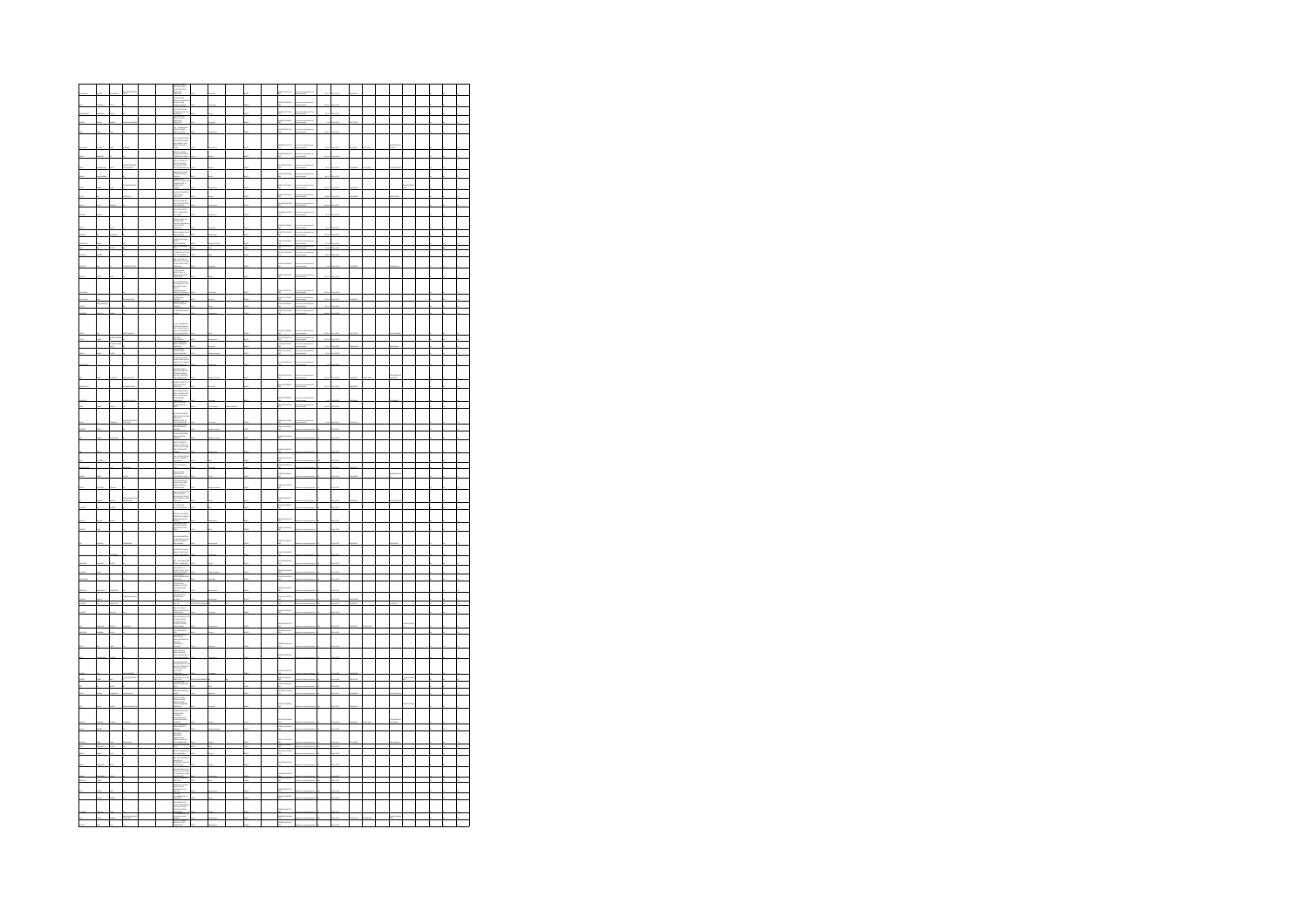|  |  |  |                           |  |  |        | and for authorized and |  |  |  |  |  |  |
|--|--|--|---------------------------|--|--|--------|------------------------|--|--|--|--|--|--|
|  |  |  |                           |  |  |        |                        |  |  |  |  |  |  |
|  |  |  |                           |  |  |        |                        |  |  |  |  |  |  |
|  |  |  |                           |  |  |        |                        |  |  |  |  |  |  |
|  |  |  |                           |  |  |        |                        |  |  |  |  |  |  |
|  |  |  |                           |  |  |        |                        |  |  |  |  |  |  |
|  |  |  |                           |  |  |        |                        |  |  |  |  |  |  |
|  |  |  |                           |  |  |        |                        |  |  |  |  |  |  |
|  |  |  | 1478<br>13 Maii<br>13 Mai |  |  |        |                        |  |  |  |  |  |  |
|  |  |  |                           |  |  |        |                        |  |  |  |  |  |  |
|  |  |  |                           |  |  |        |                        |  |  |  |  |  |  |
|  |  |  |                           |  |  |        |                        |  |  |  |  |  |  |
|  |  |  |                           |  |  |        |                        |  |  |  |  |  |  |
|  |  |  | Ē                         |  |  |        |                        |  |  |  |  |  |  |
|  |  |  |                           |  |  |        |                        |  |  |  |  |  |  |
|  |  |  |                           |  |  |        |                        |  |  |  |  |  |  |
|  |  |  |                           |  |  |        |                        |  |  |  |  |  |  |
|  |  |  |                           |  |  |        |                        |  |  |  |  |  |  |
|  |  |  |                           |  |  |        |                        |  |  |  |  |  |  |
|  |  |  |                           |  |  |        |                        |  |  |  |  |  |  |
|  |  |  |                           |  |  |        |                        |  |  |  |  |  |  |
|  |  |  |                           |  |  |        |                        |  |  |  |  |  |  |
|  |  |  |                           |  |  |        |                        |  |  |  |  |  |  |
|  |  |  |                           |  |  |        |                        |  |  |  |  |  |  |
|  |  |  |                           |  |  |        |                        |  |  |  |  |  |  |
|  |  |  |                           |  |  |        |                        |  |  |  |  |  |  |
|  |  |  |                           |  |  |        |                        |  |  |  |  |  |  |
|  |  |  |                           |  |  |        |                        |  |  |  |  |  |  |
|  |  |  |                           |  |  |        |                        |  |  |  |  |  |  |
|  |  |  |                           |  |  |        |                        |  |  |  |  |  |  |
|  |  |  |                           |  |  |        |                        |  |  |  |  |  |  |
|  |  |  |                           |  |  |        |                        |  |  |  |  |  |  |
|  |  |  |                           |  |  |        |                        |  |  |  |  |  |  |
|  |  |  |                           |  |  |        |                        |  |  |  |  |  |  |
|  |  |  |                           |  |  |        |                        |  |  |  |  |  |  |
|  |  |  |                           |  |  |        |                        |  |  |  |  |  |  |
|  |  |  |                           |  |  |        |                        |  |  |  |  |  |  |
|  |  |  |                           |  |  |        |                        |  |  |  |  |  |  |
|  |  |  |                           |  |  |        |                        |  |  |  |  |  |  |
|  |  |  | ÷                         |  |  |        |                        |  |  |  |  |  |  |
|  |  |  |                           |  |  |        |                        |  |  |  |  |  |  |
|  |  |  |                           |  |  |        |                        |  |  |  |  |  |  |
|  |  |  |                           |  |  |        |                        |  |  |  |  |  |  |
|  |  |  |                           |  |  |        |                        |  |  |  |  |  |  |
|  |  |  |                           |  |  |        |                        |  |  |  |  |  |  |
|  |  |  | È,                        |  |  |        |                        |  |  |  |  |  |  |
|  |  |  | men.<br>Første            |  |  |        |                        |  |  |  |  |  |  |
|  |  |  |                           |  |  |        |                        |  |  |  |  |  |  |
|  |  |  |                           |  |  |        |                        |  |  |  |  |  |  |
|  |  |  | ÷                         |  |  | a sann |                        |  |  |  |  |  |  |
|  |  |  |                           |  |  |        |                        |  |  |  |  |  |  |
|  |  |  |                           |  |  |        |                        |  |  |  |  |  |  |
|  |  |  | F                         |  |  |        |                        |  |  |  |  |  |  |
|  |  |  |                           |  |  |        |                        |  |  |  |  |  |  |
|  |  |  |                           |  |  |        |                        |  |  |  |  |  |  |
|  |  |  |                           |  |  |        |                        |  |  |  |  |  |  |
|  |  |  |                           |  |  |        |                        |  |  |  |  |  |  |
|  |  |  |                           |  |  |        |                        |  |  |  |  |  |  |
|  |  |  | É                         |  |  |        |                        |  |  |  |  |  |  |
|  |  |  |                           |  |  |        |                        |  |  |  |  |  |  |
|  |  |  |                           |  |  |        |                        |  |  |  |  |  |  |
|  |  |  |                           |  |  |        |                        |  |  |  |  |  |  |
|  |  |  |                           |  |  |        |                        |  |  |  |  |  |  |
|  |  |  |                           |  |  |        |                        |  |  |  |  |  |  |
|  |  |  |                           |  |  |        |                        |  |  |  |  |  |  |
|  |  |  |                           |  |  |        |                        |  |  |  |  |  |  |
|  |  |  |                           |  |  |        |                        |  |  |  |  |  |  |
|  |  |  | ÷                         |  |  |        |                        |  |  |  |  |  |  |
|  |  |  |                           |  |  |        |                        |  |  |  |  |  |  |
|  |  |  | $\frac{1}{2}$             |  |  |        |                        |  |  |  |  |  |  |
|  |  |  |                           |  |  |        |                        |  |  |  |  |  |  |
|  |  |  |                           |  |  |        |                        |  |  |  |  |  |  |
|  |  |  | $\mathbf{r}$              |  |  |        |                        |  |  |  |  |  |  |
|  |  |  |                           |  |  |        |                        |  |  |  |  |  |  |
|  |  |  |                           |  |  |        |                        |  |  |  |  |  |  |
|  |  |  | $\equiv$                  |  |  |        |                        |  |  |  |  |  |  |
|  |  |  |                           |  |  |        |                        |  |  |  |  |  |  |
|  |  |  |                           |  |  |        |                        |  |  |  |  |  |  |
|  |  |  |                           |  |  |        |                        |  |  |  |  |  |  |
|  |  |  | $\frac{1}{2}$             |  |  |        |                        |  |  |  |  |  |  |
|  |  |  |                           |  |  |        |                        |  |  |  |  |  |  |
|  |  |  |                           |  |  |        |                        |  |  |  |  |  |  |
|  |  |  |                           |  |  |        |                        |  |  |  |  |  |  |
|  |  |  |                           |  |  |        |                        |  |  |  |  |  |  |
|  |  |  |                           |  |  |        |                        |  |  |  |  |  |  |
|  |  |  |                           |  |  |        |                        |  |  |  |  |  |  |
|  |  |  |                           |  |  |        |                        |  |  |  |  |  |  |
|  |  |  |                           |  |  |        |                        |  |  |  |  |  |  |
|  |  |  |                           |  |  |        |                        |  |  |  |  |  |  |
|  |  |  |                           |  |  |        |                        |  |  |  |  |  |  |
|  |  |  |                           |  |  |        |                        |  |  |  |  |  |  |
|  |  |  |                           |  |  |        |                        |  |  |  |  |  |  |
|  |  |  |                           |  |  |        |                        |  |  |  |  |  |  |
|  |  |  |                           |  |  |        |                        |  |  |  |  |  |  |
|  |  |  |                           |  |  |        |                        |  |  |  |  |  |  |
|  |  |  |                           |  |  |        |                        |  |  |  |  |  |  |
|  |  |  |                           |  |  |        |                        |  |  |  |  |  |  |
|  |  |  |                           |  |  |        |                        |  |  |  |  |  |  |
|  |  |  | Ħ                         |  |  |        |                        |  |  |  |  |  |  |
|  |  |  |                           |  |  |        |                        |  |  |  |  |  |  |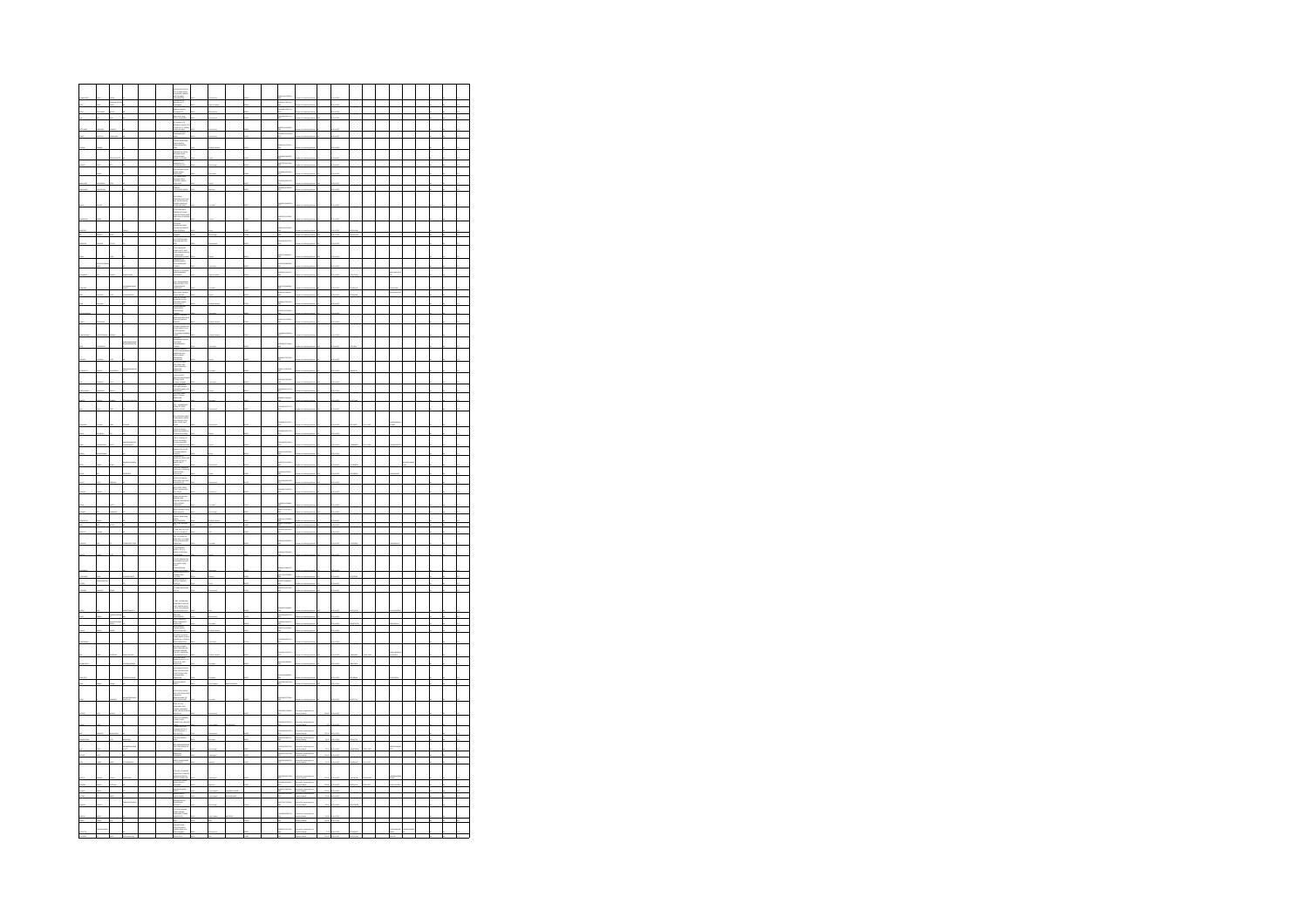|  |  |  | a manus       |  |  |                                                                                                                                                                                                                                                                                                                                                                                                                                                                                           |  |  |  |  |  |  |
|--|--|--|---------------|--|--|-------------------------------------------------------------------------------------------------------------------------------------------------------------------------------------------------------------------------------------------------------------------------------------------------------------------------------------------------------------------------------------------------------------------------------------------------------------------------------------------|--|--|--|--|--|--|
|  |  |  |               |  |  |                                                                                                                                                                                                                                                                                                                                                                                                                                                                                           |  |  |  |  |  |  |
|  |  |  |               |  |  |                                                                                                                                                                                                                                                                                                                                                                                                                                                                                           |  |  |  |  |  |  |
|  |  |  |               |  |  |                                                                                                                                                                                                                                                                                                                                                                                                                                                                                           |  |  |  |  |  |  |
|  |  |  |               |  |  |                                                                                                                                                                                                                                                                                                                                                                                                                                                                                           |  |  |  |  |  |  |
|  |  |  |               |  |  |                                                                                                                                                                                                                                                                                                                                                                                                                                                                                           |  |  |  |  |  |  |
|  |  |  |               |  |  |                                                                                                                                                                                                                                                                                                                                                                                                                                                                                           |  |  |  |  |  |  |
|  |  |  |               |  |  |                                                                                                                                                                                                                                                                                                                                                                                                                                                                                           |  |  |  |  |  |  |
|  |  |  |               |  |  |                                                                                                                                                                                                                                                                                                                                                                                                                                                                                           |  |  |  |  |  |  |
|  |  |  |               |  |  |                                                                                                                                                                                                                                                                                                                                                                                                                                                                                           |  |  |  |  |  |  |
|  |  |  |               |  |  |                                                                                                                                                                                                                                                                                                                                                                                                                                                                                           |  |  |  |  |  |  |
|  |  |  |               |  |  |                                                                                                                                                                                                                                                                                                                                                                                                                                                                                           |  |  |  |  |  |  |
|  |  |  |               |  |  |                                                                                                                                                                                                                                                                                                                                                                                                                                                                                           |  |  |  |  |  |  |
|  |  |  |               |  |  |                                                                                                                                                                                                                                                                                                                                                                                                                                                                                           |  |  |  |  |  |  |
|  |  |  |               |  |  |                                                                                                                                                                                                                                                                                                                                                                                                                                                                                           |  |  |  |  |  |  |
|  |  |  |               |  |  |                                                                                                                                                                                                                                                                                                                                                                                                                                                                                           |  |  |  |  |  |  |
|  |  |  |               |  |  |                                                                                                                                                                                                                                                                                                                                                                                                                                                                                           |  |  |  |  |  |  |
|  |  |  |               |  |  |                                                                                                                                                                                                                                                                                                                                                                                                                                                                                           |  |  |  |  |  |  |
|  |  |  |               |  |  |                                                                                                                                                                                                                                                                                                                                                                                                                                                                                           |  |  |  |  |  |  |
|  |  |  |               |  |  |                                                                                                                                                                                                                                                                                                                                                                                                                                                                                           |  |  |  |  |  |  |
|  |  |  |               |  |  |                                                                                                                                                                                                                                                                                                                                                                                                                                                                                           |  |  |  |  |  |  |
|  |  |  |               |  |  |                                                                                                                                                                                                                                                                                                                                                                                                                                                                                           |  |  |  |  |  |  |
|  |  |  |               |  |  |                                                                                                                                                                                                                                                                                                                                                                                                                                                                                           |  |  |  |  |  |  |
|  |  |  |               |  |  |                                                                                                                                                                                                                                                                                                                                                                                                                                                                                           |  |  |  |  |  |  |
|  |  |  |               |  |  |                                                                                                                                                                                                                                                                                                                                                                                                                                                                                           |  |  |  |  |  |  |
|  |  |  |               |  |  |                                                                                                                                                                                                                                                                                                                                                                                                                                                                                           |  |  |  |  |  |  |
|  |  |  |               |  |  |                                                                                                                                                                                                                                                                                                                                                                                                                                                                                           |  |  |  |  |  |  |
|  |  |  |               |  |  |                                                                                                                                                                                                                                                                                                                                                                                                                                                                                           |  |  |  |  |  |  |
|  |  |  |               |  |  |                                                                                                                                                                                                                                                                                                                                                                                                                                                                                           |  |  |  |  |  |  |
|  |  |  |               |  |  |                                                                                                                                                                                                                                                                                                                                                                                                                                                                                           |  |  |  |  |  |  |
|  |  |  |               |  |  |                                                                                                                                                                                                                                                                                                                                                                                                                                                                                           |  |  |  |  |  |  |
|  |  |  |               |  |  |                                                                                                                                                                                                                                                                                                                                                                                                                                                                                           |  |  |  |  |  |  |
|  |  |  |               |  |  |                                                                                                                                                                                                                                                                                                                                                                                                                                                                                           |  |  |  |  |  |  |
|  |  |  |               |  |  |                                                                                                                                                                                                                                                                                                                                                                                                                                                                                           |  |  |  |  |  |  |
|  |  |  |               |  |  |                                                                                                                                                                                                                                                                                                                                                                                                                                                                                           |  |  |  |  |  |  |
|  |  |  |               |  |  |                                                                                                                                                                                                                                                                                                                                                                                                                                                                                           |  |  |  |  |  |  |
|  |  |  |               |  |  |                                                                                                                                                                                                                                                                                                                                                                                                                                                                                           |  |  |  |  |  |  |
|  |  |  | $\frac{1}{2}$ |  |  |                                                                                                                                                                                                                                                                                                                                                                                                                                                                                           |  |  |  |  |  |  |
|  |  |  |               |  |  |                                                                                                                                                                                                                                                                                                                                                                                                                                                                                           |  |  |  |  |  |  |
|  |  |  |               |  |  |                                                                                                                                                                                                                                                                                                                                                                                                                                                                                           |  |  |  |  |  |  |
|  |  |  |               |  |  |                                                                                                                                                                                                                                                                                                                                                                                                                                                                                           |  |  |  |  |  |  |
|  |  |  |               |  |  |                                                                                                                                                                                                                                                                                                                                                                                                                                                                                           |  |  |  |  |  |  |
|  |  |  |               |  |  |                                                                                                                                                                                                                                                                                                                                                                                                                                                                                           |  |  |  |  |  |  |
|  |  |  |               |  |  |                                                                                                                                                                                                                                                                                                                                                                                                                                                                                           |  |  |  |  |  |  |
|  |  |  |               |  |  |                                                                                                                                                                                                                                                                                                                                                                                                                                                                                           |  |  |  |  |  |  |
|  |  |  |               |  |  |                                                                                                                                                                                                                                                                                                                                                                                                                                                                                           |  |  |  |  |  |  |
|  |  |  |               |  |  |                                                                                                                                                                                                                                                                                                                                                                                                                                                                                           |  |  |  |  |  |  |
|  |  |  |               |  |  |                                                                                                                                                                                                                                                                                                                                                                                                                                                                                           |  |  |  |  |  |  |
|  |  |  |               |  |  |                                                                                                                                                                                                                                                                                                                                                                                                                                                                                           |  |  |  |  |  |  |
|  |  |  |               |  |  |                                                                                                                                                                                                                                                                                                                                                                                                                                                                                           |  |  |  |  |  |  |
|  |  |  |               |  |  |                                                                                                                                                                                                                                                                                                                                                                                                                                                                                           |  |  |  |  |  |  |
|  |  |  |               |  |  |                                                                                                                                                                                                                                                                                                                                                                                                                                                                                           |  |  |  |  |  |  |
|  |  |  |               |  |  |                                                                                                                                                                                                                                                                                                                                                                                                                                                                                           |  |  |  |  |  |  |
|  |  |  |               |  |  |                                                                                                                                                                                                                                                                                                                                                                                                                                                                                           |  |  |  |  |  |  |
|  |  |  |               |  |  |                                                                                                                                                                                                                                                                                                                                                                                                                                                                                           |  |  |  |  |  |  |
|  |  |  |               |  |  |                                                                                                                                                                                                                                                                                                                                                                                                                                                                                           |  |  |  |  |  |  |
|  |  |  |               |  |  |                                                                                                                                                                                                                                                                                                                                                                                                                                                                                           |  |  |  |  |  |  |
|  |  |  |               |  |  |                                                                                                                                                                                                                                                                                                                                                                                                                                                                                           |  |  |  |  |  |  |
|  |  |  |               |  |  |                                                                                                                                                                                                                                                                                                                                                                                                                                                                                           |  |  |  |  |  |  |
|  |  |  |               |  |  |                                                                                                                                                                                                                                                                                                                                                                                                                                                                                           |  |  |  |  |  |  |
|  |  |  |               |  |  |                                                                                                                                                                                                                                                                                                                                                                                                                                                                                           |  |  |  |  |  |  |
|  |  |  |               |  |  |                                                                                                                                                                                                                                                                                                                                                                                                                                                                                           |  |  |  |  |  |  |
|  |  |  |               |  |  |                                                                                                                                                                                                                                                                                                                                                                                                                                                                                           |  |  |  |  |  |  |
|  |  |  |               |  |  |                                                                                                                                                                                                                                                                                                                                                                                                                                                                                           |  |  |  |  |  |  |
|  |  |  |               |  |  |                                                                                                                                                                                                                                                                                                                                                                                                                                                                                           |  |  |  |  |  |  |
|  |  |  |               |  |  |                                                                                                                                                                                                                                                                                                                                                                                                                                                                                           |  |  |  |  |  |  |
|  |  |  |               |  |  |                                                                                                                                                                                                                                                                                                                                                                                                                                                                                           |  |  |  |  |  |  |
|  |  |  |               |  |  |                                                                                                                                                                                                                                                                                                                                                                                                                                                                                           |  |  |  |  |  |  |
|  |  |  |               |  |  |                                                                                                                                                                                                                                                                                                                                                                                                                                                                                           |  |  |  |  |  |  |
|  |  |  |               |  |  |                                                                                                                                                                                                                                                                                                                                                                                                                                                                                           |  |  |  |  |  |  |
|  |  |  |               |  |  |                                                                                                                                                                                                                                                                                                                                                                                                                                                                                           |  |  |  |  |  |  |
|  |  |  |               |  |  |                                                                                                                                                                                                                                                                                                                                                                                                                                                                                           |  |  |  |  |  |  |
|  |  |  |               |  |  |                                                                                                                                                                                                                                                                                                                                                                                                                                                                                           |  |  |  |  |  |  |
|  |  |  |               |  |  |                                                                                                                                                                                                                                                                                                                                                                                                                                                                                           |  |  |  |  |  |  |
|  |  |  |               |  |  |                                                                                                                                                                                                                                                                                                                                                                                                                                                                                           |  |  |  |  |  |  |
|  |  |  |               |  |  |                                                                                                                                                                                                                                                                                                                                                                                                                                                                                           |  |  |  |  |  |  |
|  |  |  | $\frac{1}{2}$ |  |  |                                                                                                                                                                                                                                                                                                                                                                                                                                                                                           |  |  |  |  |  |  |
|  |  |  |               |  |  | $\begin{array}{c} \multicolumn{3}{c}{} & \multicolumn{3}{c}{} & \multicolumn{3}{c}{} \\ \multicolumn{3}{c}{} & \multicolumn{3}{c}{} & \multicolumn{3}{c}{} & \multicolumn{3}{c}{} \\ \multicolumn{3}{c}{} & \multicolumn{3}{c}{} & \multicolumn{3}{c}{} & \multicolumn{3}{c}{} \\ \multicolumn{3}{c}{} & \multicolumn{3}{c}{} & \multicolumn{3}{c}{} & \multicolumn{3}{c}{} \\ \multicolumn{3}{c}{} & \multicolumn{3}{c}{} & \multicolumn{3}{c}{} & \multicolumn{3}{c}{} \\ \multicolumn$ |  |  |  |  |  |  |
|  |  |  |               |  |  |                                                                                                                                                                                                                                                                                                                                                                                                                                                                                           |  |  |  |  |  |  |
|  |  |  |               |  |  |                                                                                                                                                                                                                                                                                                                                                                                                                                                                                           |  |  |  |  |  |  |
|  |  |  |               |  |  |                                                                                                                                                                                                                                                                                                                                                                                                                                                                                           |  |  |  |  |  |  |
|  |  |  |               |  |  |                                                                                                                                                                                                                                                                                                                                                                                                                                                                                           |  |  |  |  |  |  |
|  |  |  |               |  |  |                                                                                                                                                                                                                                                                                                                                                                                                                                                                                           |  |  |  |  |  |  |
|  |  |  |               |  |  |                                                                                                                                                                                                                                                                                                                                                                                                                                                                                           |  |  |  |  |  |  |
|  |  |  |               |  |  |                                                                                                                                                                                                                                                                                                                                                                                                                                                                                           |  |  |  |  |  |  |
|  |  |  |               |  |  |                                                                                                                                                                                                                                                                                                                                                                                                                                                                                           |  |  |  |  |  |  |
|  |  |  |               |  |  |                                                                                                                                                                                                                                                                                                                                                                                                                                                                                           |  |  |  |  |  |  |
|  |  |  |               |  |  |                                                                                                                                                                                                                                                                                                                                                                                                                                                                                           |  |  |  |  |  |  |
|  |  |  |               |  |  |                                                                                                                                                                                                                                                                                                                                                                                                                                                                                           |  |  |  |  |  |  |
|  |  |  |               |  |  |                                                                                                                                                                                                                                                                                                                                                                                                                                                                                           |  |  |  |  |  |  |
|  |  |  |               |  |  |                                                                                                                                                                                                                                                                                                                                                                                                                                                                                           |  |  |  |  |  |  |
|  |  |  |               |  |  |                                                                                                                                                                                                                                                                                                                                                                                                                                                                                           |  |  |  |  |  |  |
|  |  |  |               |  |  |                                                                                                                                                                                                                                                                                                                                                                                                                                                                                           |  |  |  |  |  |  |
|  |  |  |               |  |  |                                                                                                                                                                                                                                                                                                                                                                                                                                                                                           |  |  |  |  |  |  |
|  |  |  |               |  |  |                                                                                                                                                                                                                                                                                                                                                                                                                                                                                           |  |  |  |  |  |  |
|  |  |  |               |  |  |                                                                                                                                                                                                                                                                                                                                                                                                                                                                                           |  |  |  |  |  |  |
|  |  |  |               |  |  |                                                                                                                                                                                                                                                                                                                                                                                                                                                                                           |  |  |  |  |  |  |
|  |  |  |               |  |  |                                                                                                                                                                                                                                                                                                                                                                                                                                                                                           |  |  |  |  |  |  |
|  |  |  |               |  |  |                                                                                                                                                                                                                                                                                                                                                                                                                                                                                           |  |  |  |  |  |  |
|  |  |  |               |  |  |                                                                                                                                                                                                                                                                                                                                                                                                                                                                                           |  |  |  |  |  |  |
|  |  |  |               |  |  |                                                                                                                                                                                                                                                                                                                                                                                                                                                                                           |  |  |  |  |  |  |
|  |  |  |               |  |  |                                                                                                                                                                                                                                                                                                                                                                                                                                                                                           |  |  |  |  |  |  |
|  |  |  |               |  |  |                                                                                                                                                                                                                                                                                                                                                                                                                                                                                           |  |  |  |  |  |  |
|  |  |  |               |  |  |                                                                                                                                                                                                                                                                                                                                                                                                                                                                                           |  |  |  |  |  |  |
|  |  |  |               |  |  |                                                                                                                                                                                                                                                                                                                                                                                                                                                                                           |  |  |  |  |  |  |
|  |  |  |               |  |  |                                                                                                                                                                                                                                                                                                                                                                                                                                                                                           |  |  |  |  |  |  |
|  |  |  |               |  |  |                                                                                                                                                                                                                                                                                                                                                                                                                                                                                           |  |  |  |  |  |  |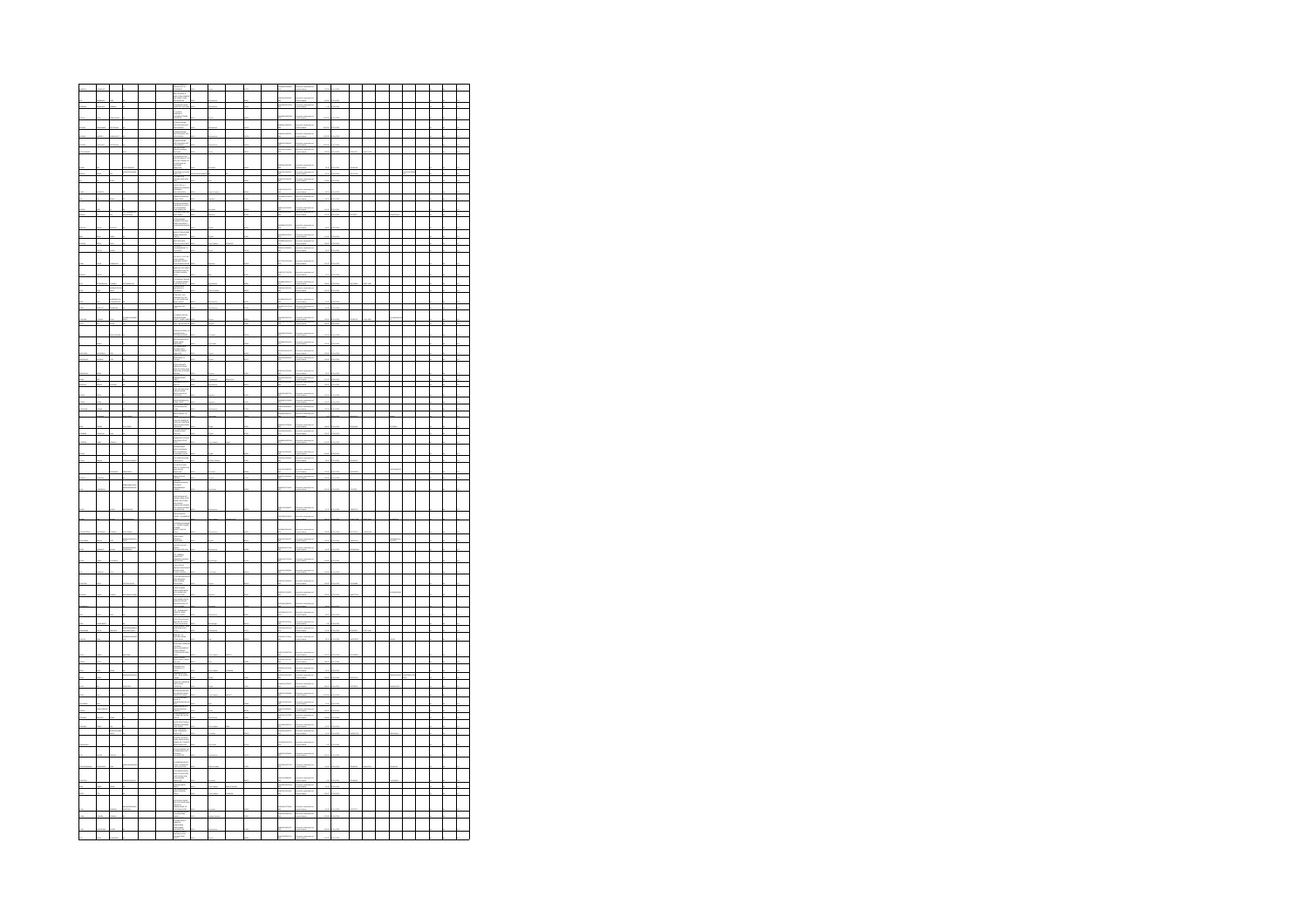|  |  |  | <b>STARTS</b> |  |  |  |                   |  |  |  |  |  |  |
|--|--|--|---------------|--|--|--|-------------------|--|--|--|--|--|--|
|  |  |  |               |  |  |  |                   |  |  |  |  |  |  |
|  |  |  |               |  |  |  |                   |  |  |  |  |  |  |
|  |  |  |               |  |  |  |                   |  |  |  |  |  |  |
|  |  |  |               |  |  |  |                   |  |  |  |  |  |  |
|  |  |  |               |  |  |  |                   |  |  |  |  |  |  |
|  |  |  |               |  |  |  |                   |  |  |  |  |  |  |
|  |  |  |               |  |  |  |                   |  |  |  |  |  |  |
|  |  |  |               |  |  |  |                   |  |  |  |  |  |  |
|  |  |  |               |  |  |  |                   |  |  |  |  |  |  |
|  |  |  |               |  |  |  |                   |  |  |  |  |  |  |
|  |  |  |               |  |  |  |                   |  |  |  |  |  |  |
|  |  |  |               |  |  |  |                   |  |  |  |  |  |  |
|  |  |  |               |  |  |  |                   |  |  |  |  |  |  |
|  |  |  |               |  |  |  |                   |  |  |  |  |  |  |
|  |  |  |               |  |  |  |                   |  |  |  |  |  |  |
|  |  |  |               |  |  |  |                   |  |  |  |  |  |  |
|  |  |  |               |  |  |  |                   |  |  |  |  |  |  |
|  |  |  |               |  |  |  |                   |  |  |  |  |  |  |
|  |  |  |               |  |  |  |                   |  |  |  |  |  |  |
|  |  |  |               |  |  |  |                   |  |  |  |  |  |  |
|  |  |  |               |  |  |  |                   |  |  |  |  |  |  |
|  |  |  |               |  |  |  |                   |  |  |  |  |  |  |
|  |  |  |               |  |  |  |                   |  |  |  |  |  |  |
|  |  |  |               |  |  |  |                   |  |  |  |  |  |  |
|  |  |  |               |  |  |  |                   |  |  |  |  |  |  |
|  |  |  |               |  |  |  |                   |  |  |  |  |  |  |
|  |  |  |               |  |  |  |                   |  |  |  |  |  |  |
|  |  |  |               |  |  |  |                   |  |  |  |  |  |  |
|  |  |  |               |  |  |  |                   |  |  |  |  |  |  |
|  |  |  |               |  |  |  |                   |  |  |  |  |  |  |
|  |  |  |               |  |  |  |                   |  |  |  |  |  |  |
|  |  |  |               |  |  |  |                   |  |  |  |  |  |  |
|  |  |  |               |  |  |  |                   |  |  |  |  |  |  |
|  |  |  |               |  |  |  |                   |  |  |  |  |  |  |
|  |  |  |               |  |  |  |                   |  |  |  |  |  |  |
|  |  |  |               |  |  |  |                   |  |  |  |  |  |  |
|  |  |  |               |  |  |  |                   |  |  |  |  |  |  |
|  |  |  |               |  |  |  |                   |  |  |  |  |  |  |
|  |  |  |               |  |  |  |                   |  |  |  |  |  |  |
|  |  |  |               |  |  |  |                   |  |  |  |  |  |  |
|  |  |  |               |  |  |  |                   |  |  |  |  |  |  |
|  |  |  |               |  |  |  |                   |  |  |  |  |  |  |
|  |  |  |               |  |  |  |                   |  |  |  |  |  |  |
|  |  |  |               |  |  |  |                   |  |  |  |  |  |  |
|  |  |  |               |  |  |  |                   |  |  |  |  |  |  |
|  |  |  |               |  |  |  | <b>CONTRACTOR</b> |  |  |  |  |  |  |
|  |  |  |               |  |  |  |                   |  |  |  |  |  |  |
|  |  |  |               |  |  |  | <b>ALCOHOL</b>    |  |  |  |  |  |  |
|  |  |  |               |  |  |  |                   |  |  |  |  |  |  |
|  |  |  |               |  |  |  |                   |  |  |  |  |  |  |
|  |  |  |               |  |  |  |                   |  |  |  |  |  |  |
|  |  |  |               |  |  |  |                   |  |  |  |  |  |  |
|  |  |  |               |  |  |  |                   |  |  |  |  |  |  |
|  |  |  |               |  |  |  |                   |  |  |  |  |  |  |
|  |  |  |               |  |  |  |                   |  |  |  |  |  |  |
|  |  |  |               |  |  |  |                   |  |  |  |  |  |  |
|  |  |  |               |  |  |  |                   |  |  |  |  |  |  |
|  |  |  |               |  |  |  |                   |  |  |  |  |  |  |
|  |  |  |               |  |  |  |                   |  |  |  |  |  |  |
|  |  |  |               |  |  |  |                   |  |  |  |  |  |  |
|  |  |  |               |  |  |  |                   |  |  |  |  |  |  |
|  |  |  |               |  |  |  |                   |  |  |  |  |  |  |
|  |  |  |               |  |  |  |                   |  |  |  |  |  |  |
|  |  |  |               |  |  |  |                   |  |  |  |  |  |  |
|  |  |  |               |  |  |  |                   |  |  |  |  |  |  |
|  |  |  |               |  |  |  |                   |  |  |  |  |  |  |
|  |  |  |               |  |  |  |                   |  |  |  |  |  |  |
|  |  |  |               |  |  |  |                   |  |  |  |  |  |  |
|  |  |  |               |  |  |  |                   |  |  |  |  |  |  |
|  |  |  |               |  |  |  |                   |  |  |  |  |  |  |
|  |  |  |               |  |  |  |                   |  |  |  |  |  |  |
|  |  |  |               |  |  |  |                   |  |  |  |  |  |  |
|  |  |  |               |  |  |  |                   |  |  |  |  |  |  |
|  |  |  |               |  |  |  |                   |  |  |  |  |  |  |
|  |  |  |               |  |  |  |                   |  |  |  |  |  |  |
|  |  |  |               |  |  |  |                   |  |  |  |  |  |  |
|  |  |  |               |  |  |  |                   |  |  |  |  |  |  |
|  |  |  |               |  |  |  |                   |  |  |  |  |  |  |
|  |  |  |               |  |  |  |                   |  |  |  |  |  |  |
|  |  |  |               |  |  |  |                   |  |  |  |  |  |  |
|  |  |  |               |  |  |  |                   |  |  |  |  |  |  |
|  |  |  |               |  |  |  |                   |  |  |  |  |  |  |
|  |  |  |               |  |  |  |                   |  |  |  |  |  |  |
|  |  |  |               |  |  |  |                   |  |  |  |  |  |  |
|  |  |  |               |  |  |  |                   |  |  |  |  |  |  |
|  |  |  |               |  |  |  |                   |  |  |  |  |  |  |
|  |  |  |               |  |  |  |                   |  |  |  |  |  |  |
|  |  |  |               |  |  |  |                   |  |  |  |  |  |  |
|  |  |  |               |  |  |  |                   |  |  |  |  |  |  |
|  |  |  |               |  |  |  |                   |  |  |  |  |  |  |
|  |  |  |               |  |  |  |                   |  |  |  |  |  |  |
|  |  |  |               |  |  |  |                   |  |  |  |  |  |  |
|  |  |  |               |  |  |  |                   |  |  |  |  |  |  |
|  |  |  |               |  |  |  |                   |  |  |  |  |  |  |
|  |  |  |               |  |  |  |                   |  |  |  |  |  |  |
|  |  |  |               |  |  |  |                   |  |  |  |  |  |  |
|  |  |  |               |  |  |  |                   |  |  |  |  |  |  |
|  |  |  |               |  |  |  |                   |  |  |  |  |  |  |
|  |  |  |               |  |  |  |                   |  |  |  |  |  |  |
|  |  |  |               |  |  |  |                   |  |  |  |  |  |  |
|  |  |  |               |  |  |  |                   |  |  |  |  |  |  |
|  |  |  |               |  |  |  |                   |  |  |  |  |  |  |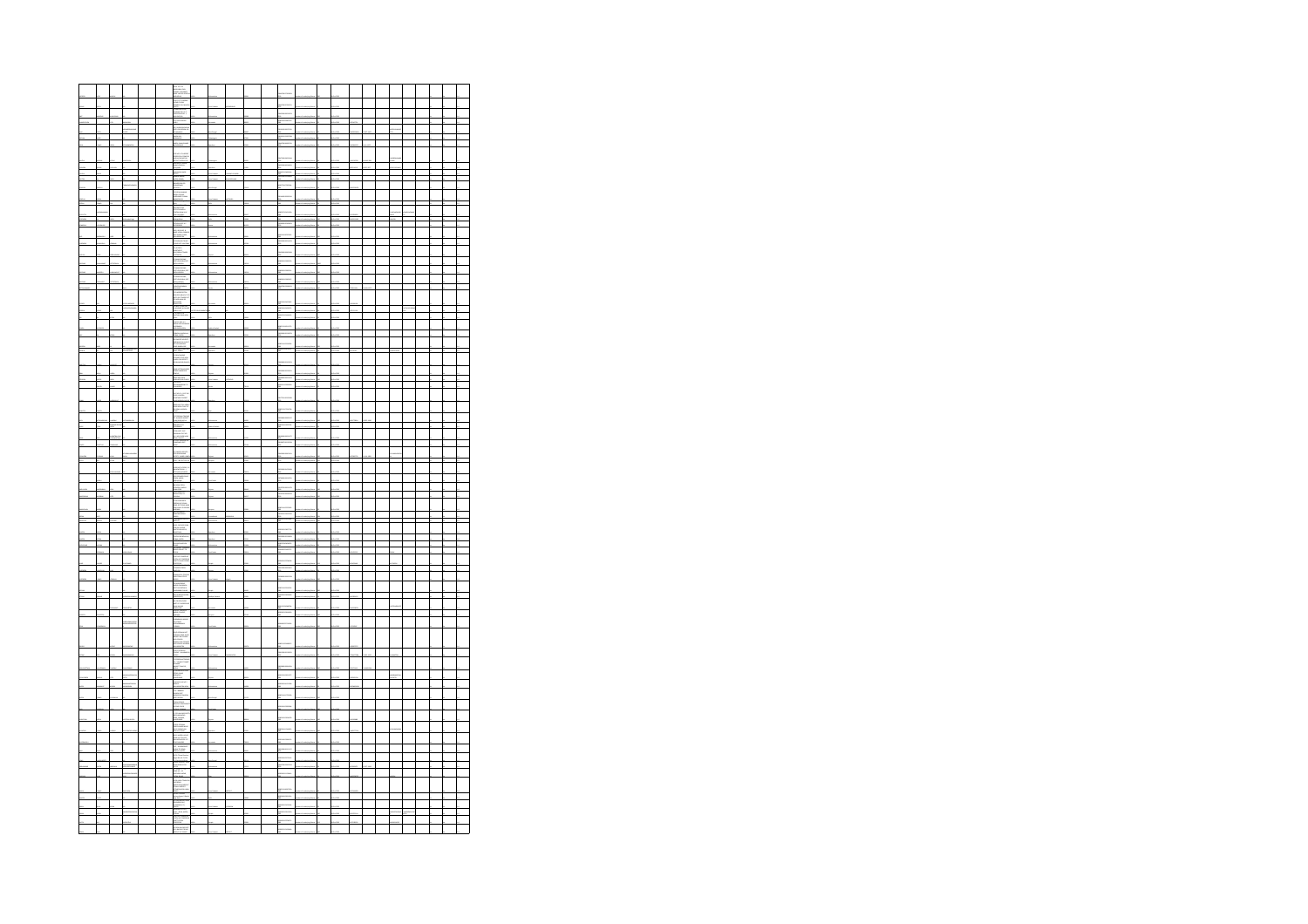| ÷ |  |  |  |  |  |  |  |  |  |  |  |  |  |
|---|--|--|--|--|--|--|--|--|--|--|--|--|--|
|   |  |  |  |  |  |  |  |  |  |  |  |  |  |
|   |  |  |  |  |  |  |  |  |  |  |  |  |  |
|   |  |  |  |  |  |  |  |  |  |  |  |  |  |
|   |  |  |  |  |  |  |  |  |  |  |  |  |  |
|   |  |  |  |  |  |  |  |  |  |  |  |  |  |
|   |  |  |  |  |  |  |  |  |  |  |  |  |  |
|   |  |  |  |  |  |  |  |  |  |  |  |  |  |
|   |  |  |  |  |  |  |  |  |  |  |  |  |  |
|   |  |  |  |  |  |  |  |  |  |  |  |  |  |
|   |  |  |  |  |  |  |  |  |  |  |  |  |  |
|   |  |  |  |  |  |  |  |  |  |  |  |  |  |
|   |  |  |  |  |  |  |  |  |  |  |  |  |  |
|   |  |  |  |  |  |  |  |  |  |  |  |  |  |
|   |  |  |  |  |  |  |  |  |  |  |  |  |  |
|   |  |  |  |  |  |  |  |  |  |  |  |  |  |
|   |  |  |  |  |  |  |  |  |  |  |  |  |  |
|   |  |  |  |  |  |  |  |  |  |  |  |  |  |
|   |  |  |  |  |  |  |  |  |  |  |  |  |  |
|   |  |  |  |  |  |  |  |  |  |  |  |  |  |
|   |  |  |  |  |  |  |  |  |  |  |  |  |  |
|   |  |  |  |  |  |  |  |  |  |  |  |  |  |
|   |  |  |  |  |  |  |  |  |  |  |  |  |  |
|   |  |  |  |  |  |  |  |  |  |  |  |  |  |
|   |  |  |  |  |  |  |  |  |  |  |  |  |  |
|   |  |  |  |  |  |  |  |  |  |  |  |  |  |
|   |  |  |  |  |  |  |  |  |  |  |  |  |  |
|   |  |  |  |  |  |  |  |  |  |  |  |  |  |
|   |  |  |  |  |  |  |  |  |  |  |  |  |  |
|   |  |  |  |  |  |  |  |  |  |  |  |  |  |
|   |  |  |  |  |  |  |  |  |  |  |  |  |  |
|   |  |  |  |  |  |  |  |  |  |  |  |  |  |
|   |  |  |  |  |  |  |  |  |  |  |  |  |  |
|   |  |  |  |  |  |  |  |  |  |  |  |  |  |
|   |  |  |  |  |  |  |  |  |  |  |  |  |  |
|   |  |  |  |  |  |  |  |  |  |  |  |  |  |
|   |  |  |  |  |  |  |  |  |  |  |  |  |  |
|   |  |  |  |  |  |  |  |  |  |  |  |  |  |
|   |  |  |  |  |  |  |  |  |  |  |  |  |  |
|   |  |  |  |  |  |  |  |  |  |  |  |  |  |
|   |  |  |  |  |  |  |  |  |  |  |  |  |  |
|   |  |  |  |  |  |  |  |  |  |  |  |  |  |
|   |  |  |  |  |  |  |  |  |  |  |  |  |  |
|   |  |  |  |  |  |  |  |  |  |  |  |  |  |
|   |  |  |  |  |  |  |  |  |  |  |  |  |  |
|   |  |  |  |  |  |  |  |  |  |  |  |  |  |
|   |  |  |  |  |  |  |  |  |  |  |  |  |  |
|   |  |  |  |  |  |  |  |  |  |  |  |  |  |
|   |  |  |  |  |  |  |  |  |  |  |  |  |  |
|   |  |  |  |  |  |  |  |  |  |  |  |  |  |
|   |  |  |  |  |  |  |  |  |  |  |  |  |  |
|   |  |  |  |  |  |  |  |  |  |  |  |  |  |
|   |  |  |  |  |  |  |  |  |  |  |  |  |  |
|   |  |  |  |  |  |  |  |  |  |  |  |  |  |
|   |  |  |  |  |  |  |  |  |  |  |  |  |  |
|   |  |  |  |  |  |  |  |  |  |  |  |  |  |
|   |  |  |  |  |  |  |  |  |  |  |  |  |  |
|   |  |  |  |  |  |  |  |  |  |  |  |  |  |
|   |  |  |  |  |  |  |  |  |  |  |  |  |  |
|   |  |  |  |  |  |  |  |  |  |  |  |  |  |
|   |  |  |  |  |  |  |  |  |  |  |  |  |  |
|   |  |  |  |  |  |  |  |  |  |  |  |  |  |
|   |  |  |  |  |  |  |  |  |  |  |  |  |  |
|   |  |  |  |  |  |  |  |  |  |  |  |  |  |
|   |  |  |  |  |  |  |  |  |  |  |  |  |  |
|   |  |  |  |  |  |  |  |  |  |  |  |  |  |
|   |  |  |  |  |  |  |  |  |  |  |  |  |  |
|   |  |  |  |  |  |  |  |  |  |  |  |  |  |
|   |  |  |  |  |  |  |  |  |  |  |  |  |  |
|   |  |  |  |  |  |  |  |  |  |  |  |  |  |
|   |  |  |  |  |  |  |  |  |  |  |  |  |  |
|   |  |  |  |  |  |  |  |  |  |  |  |  |  |
|   |  |  |  |  |  |  |  |  |  |  |  |  |  |
|   |  |  |  |  |  |  |  |  |  |  |  |  |  |
|   |  |  |  |  |  |  |  |  |  |  |  |  |  |
|   |  |  |  |  |  |  |  |  |  |  |  |  |  |
|   |  |  |  |  |  |  |  |  |  |  |  |  |  |
|   |  |  |  |  |  |  |  |  |  |  |  |  |  |
|   |  |  |  |  |  |  |  |  |  |  |  |  |  |
|   |  |  |  |  |  |  |  |  |  |  |  |  |  |
|   |  |  |  |  |  |  |  |  |  |  |  |  |  |
|   |  |  |  |  |  |  |  |  |  |  |  |  |  |
|   |  |  |  |  |  |  |  |  |  |  |  |  |  |
|   |  |  |  |  |  |  |  |  |  |  |  |  |  |
|   |  |  |  |  |  |  |  |  |  |  |  |  |  |
|   |  |  |  |  |  |  |  |  |  |  |  |  |  |
|   |  |  |  |  |  |  |  |  |  |  |  |  |  |
|   |  |  |  |  |  |  |  |  |  |  |  |  |  |
|   |  |  |  |  |  |  |  |  |  |  |  |  |  |
|   |  |  |  |  |  |  |  |  |  |  |  |  |  |
|   |  |  |  |  |  |  |  |  |  |  |  |  |  |
|   |  |  |  |  |  |  |  |  |  |  |  |  |  |
|   |  |  |  |  |  |  |  |  |  |  |  |  |  |
|   |  |  |  |  |  |  |  |  |  |  |  |  |  |
|   |  |  |  |  |  |  |  |  |  |  |  |  |  |
|   |  |  |  |  |  |  |  |  |  |  |  |  |  |
|   |  |  |  |  |  |  |  |  |  |  |  |  |  |
|   |  |  |  |  |  |  |  |  |  |  |  |  |  |
|   |  |  |  |  |  |  |  |  |  |  |  |  |  |
|   |  |  |  |  |  |  |  |  |  |  |  |  |  |
|   |  |  |  |  |  |  |  |  |  |  |  |  |  |
|   |  |  |  |  |  |  |  |  |  |  |  |  |  |
|   |  |  |  |  |  |  |  |  |  |  |  |  |  |
|   |  |  |  |  |  |  |  |  |  |  |  |  |  |
|   |  |  |  |  |  |  |  |  |  |  |  |  |  |
|   |  |  |  |  |  |  |  |  |  |  |  |  |  |
|   |  |  |  |  |  |  |  |  |  |  |  |  |  |
|   |  |  |  |  |  |  |  |  |  |  |  |  |  |
|   |  |  |  |  |  |  |  |  |  |  |  |  |  |
|   |  |  |  |  |  |  |  |  |  |  |  |  |  |
|   |  |  |  |  |  |  |  |  |  |  |  |  |  |
|   |  |  |  |  |  |  |  |  |  |  |  |  |  |
|   |  |  |  |  |  |  |  |  |  |  |  |  |  |
|   |  |  |  |  |  |  |  |  |  |  |  |  |  |
|   |  |  |  |  |  |  |  |  |  |  |  |  |  |
|   |  |  |  |  |  |  |  |  |  |  |  |  |  |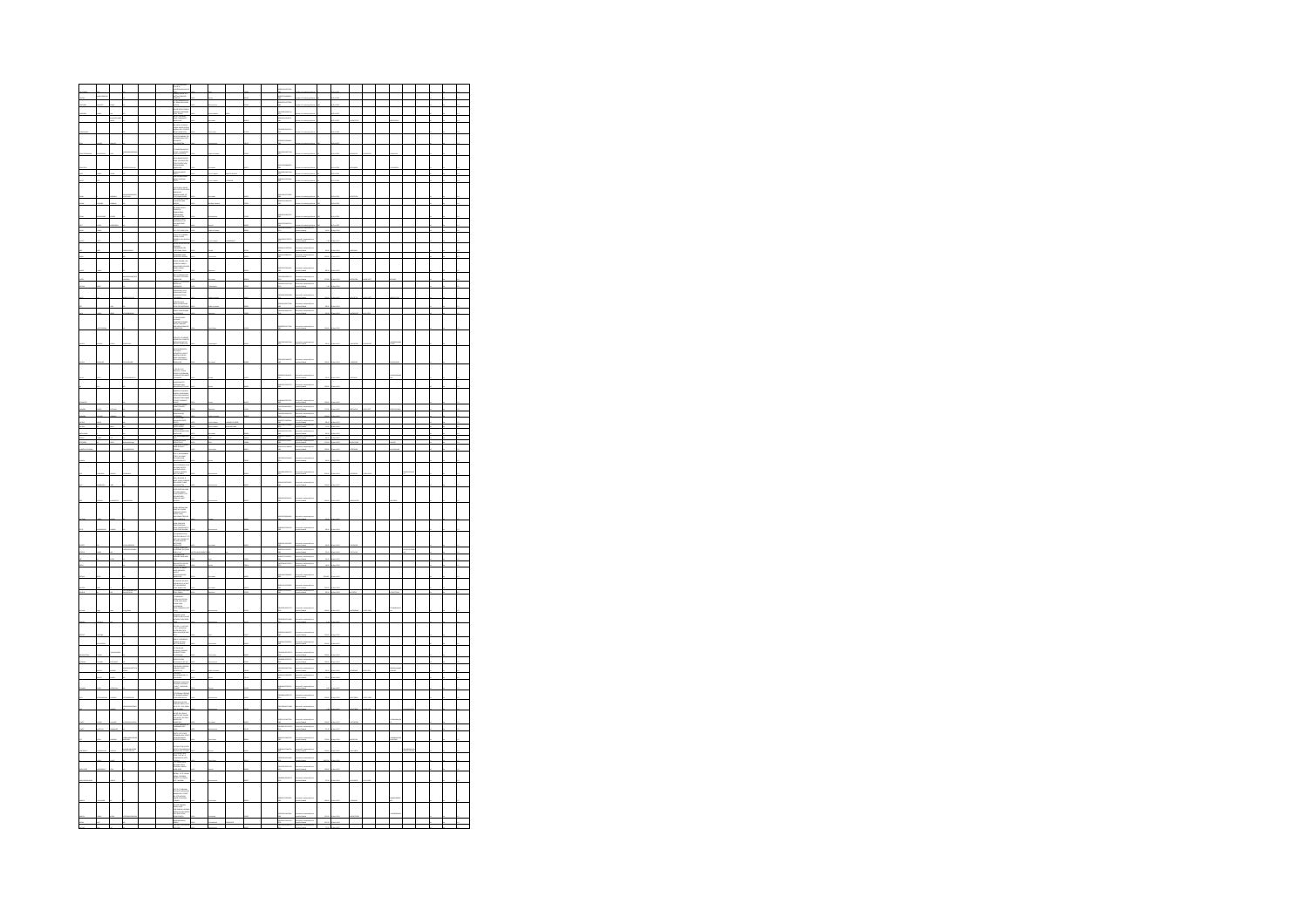|  |  |  | Ξ  |  |  |  |                                |  |  |  |  |  |  |
|--|--|--|----|--|--|--|--------------------------------|--|--|--|--|--|--|
|  |  |  |    |  |  |  |                                |  |  |  |  |  |  |
|  |  |  |    |  |  |  |                                |  |  |  |  |  |  |
|  |  |  |    |  |  |  |                                |  |  |  |  |  |  |
|  |  |  |    |  |  |  |                                |  |  |  |  |  |  |
|  |  |  |    |  |  |  |                                |  |  |  |  |  |  |
|  |  |  |    |  |  |  |                                |  |  |  |  |  |  |
|  |  |  |    |  |  |  |                                |  |  |  |  |  |  |
|  |  |  |    |  |  |  |                                |  |  |  |  |  |  |
|  |  |  |    |  |  |  |                                |  |  |  |  |  |  |
|  |  |  |    |  |  |  |                                |  |  |  |  |  |  |
|  |  |  |    |  |  |  |                                |  |  |  |  |  |  |
|  |  |  |    |  |  |  |                                |  |  |  |  |  |  |
|  |  |  |    |  |  |  |                                |  |  |  |  |  |  |
|  |  |  |    |  |  |  |                                |  |  |  |  |  |  |
|  |  |  |    |  |  |  |                                |  |  |  |  |  |  |
|  |  |  |    |  |  |  |                                |  |  |  |  |  |  |
|  |  |  |    |  |  |  |                                |  |  |  |  |  |  |
|  |  |  |    |  |  |  |                                |  |  |  |  |  |  |
|  |  |  |    |  |  |  |                                |  |  |  |  |  |  |
|  |  |  |    |  |  |  |                                |  |  |  |  |  |  |
|  |  |  |    |  |  |  |                                |  |  |  |  |  |  |
|  |  |  |    |  |  |  |                                |  |  |  |  |  |  |
|  |  |  |    |  |  |  |                                |  |  |  |  |  |  |
|  |  |  |    |  |  |  |                                |  |  |  |  |  |  |
|  |  |  |    |  |  |  |                                |  |  |  |  |  |  |
|  |  |  |    |  |  |  |                                |  |  |  |  |  |  |
|  |  |  |    |  |  |  |                                |  |  |  |  |  |  |
|  |  |  |    |  |  |  |                                |  |  |  |  |  |  |
|  |  |  |    |  |  |  |                                |  |  |  |  |  |  |
|  |  |  | Ī  |  |  |  |                                |  |  |  |  |  |  |
|  |  |  |    |  |  |  |                                |  |  |  |  |  |  |
|  |  |  |    |  |  |  | <b><i><u>Alexandre</u></i></b> |  |  |  |  |  |  |
|  |  |  |    |  |  |  | the same                       |  |  |  |  |  |  |
|  |  |  |    |  |  |  |                                |  |  |  |  |  |  |
|  |  |  |    |  |  |  |                                |  |  |  |  |  |  |
|  |  |  |    |  |  |  |                                |  |  |  |  |  |  |
|  |  |  |    |  |  |  |                                |  |  |  |  |  |  |
|  |  |  | h. |  |  |  |                                |  |  |  |  |  |  |
|  |  |  |    |  |  |  |                                |  |  |  |  |  |  |
|  |  |  |    |  |  |  |                                |  |  |  |  |  |  |
|  |  |  |    |  |  |  |                                |  |  |  |  |  |  |
|  |  |  |    |  |  |  |                                |  |  |  |  |  |  |
|  |  |  |    |  |  |  |                                |  |  |  |  |  |  |
|  |  |  |    |  |  |  |                                |  |  |  |  |  |  |
|  |  |  |    |  |  |  |                                |  |  |  |  |  |  |
|  |  |  |    |  |  |  |                                |  |  |  |  |  |  |
|  |  |  |    |  |  |  |                                |  |  |  |  |  |  |
|  |  |  |    |  |  |  |                                |  |  |  |  |  |  |
|  |  |  |    |  |  |  |                                |  |  |  |  |  |  |
|  |  |  |    |  |  |  |                                |  |  |  |  |  |  |
|  |  |  |    |  |  |  |                                |  |  |  |  |  |  |
|  |  |  |    |  |  |  |                                |  |  |  |  |  |  |
|  |  |  |    |  |  |  |                                |  |  |  |  |  |  |
|  |  |  |    |  |  |  |                                |  |  |  |  |  |  |
|  |  |  |    |  |  |  |                                |  |  |  |  |  |  |
|  |  |  |    |  |  |  |                                |  |  |  |  |  |  |
|  |  |  |    |  |  |  |                                |  |  |  |  |  |  |
|  |  |  |    |  |  |  |                                |  |  |  |  |  |  |
|  |  |  |    |  |  |  |                                |  |  |  |  |  |  |
|  |  |  |    |  |  |  |                                |  |  |  |  |  |  |
|  |  |  |    |  |  |  |                                |  |  |  |  |  |  |
|  |  |  |    |  |  |  |                                |  |  |  |  |  |  |
|  |  |  |    |  |  |  |                                |  |  |  |  |  |  |
|  |  |  |    |  |  |  |                                |  |  |  |  |  |  |
|  |  |  |    |  |  |  |                                |  |  |  |  |  |  |
|  |  |  |    |  |  |  |                                |  |  |  |  |  |  |
|  |  |  |    |  |  |  |                                |  |  |  |  |  |  |
|  |  |  |    |  |  |  |                                |  |  |  |  |  |  |
|  |  |  |    |  |  |  |                                |  |  |  |  |  |  |
|  |  |  |    |  |  |  |                                |  |  |  |  |  |  |
|  |  |  |    |  |  |  |                                |  |  |  |  |  |  |
|  |  |  |    |  |  |  |                                |  |  |  |  |  |  |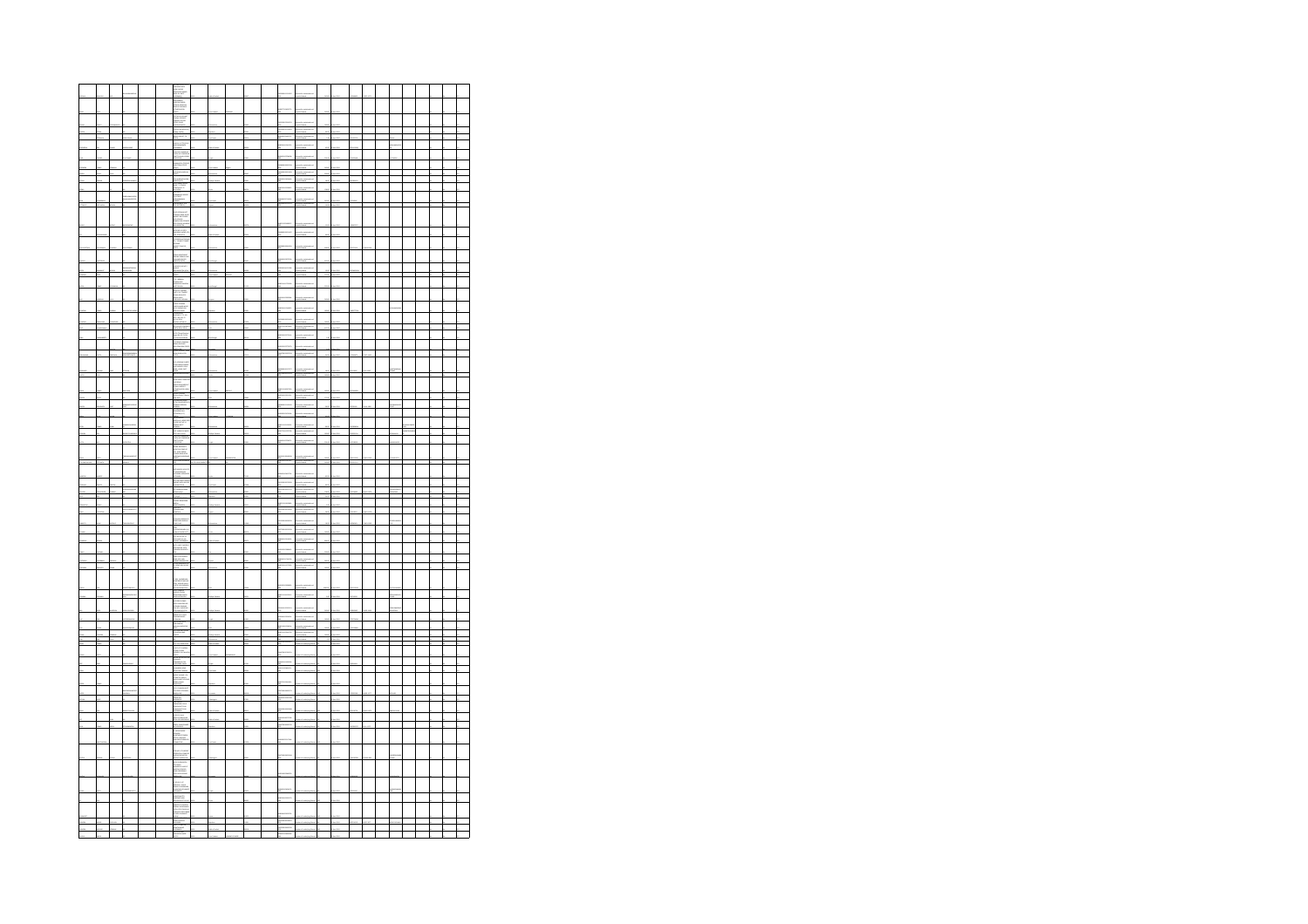|  |  |  | ł |  |  |  |  |  |  |  |  |  |
|--|--|--|---|--|--|--|--|--|--|--|--|--|
|  |  |  |   |  |  |  |  |  |  |  |  |  |
|  |  |  |   |  |  |  |  |  |  |  |  |  |
|  |  |  |   |  |  |  |  |  |  |  |  |  |
|  |  |  | ÷ |  |  |  |  |  |  |  |  |  |
|  |  |  |   |  |  |  |  |  |  |  |  |  |
|  |  |  |   |  |  |  |  |  |  |  |  |  |
|  |  |  |   |  |  |  |  |  |  |  |  |  |
|  |  |  |   |  |  |  |  |  |  |  |  |  |
|  |  |  |   |  |  |  |  |  |  |  |  |  |
|  |  |  |   |  |  |  |  |  |  |  |  |  |
|  |  |  |   |  |  |  |  |  |  |  |  |  |
|  |  |  |   |  |  |  |  |  |  |  |  |  |
|  |  |  |   |  |  |  |  |  |  |  |  |  |
|  |  |  |   |  |  |  |  |  |  |  |  |  |
|  |  |  |   |  |  |  |  |  |  |  |  |  |
|  |  |  |   |  |  |  |  |  |  |  |  |  |
|  |  |  |   |  |  |  |  |  |  |  |  |  |
|  |  |  |   |  |  |  |  |  |  |  |  |  |
|  |  |  |   |  |  |  |  |  |  |  |  |  |
|  |  |  |   |  |  |  |  |  |  |  |  |  |
|  |  |  |   |  |  |  |  |  |  |  |  |  |
|  |  |  |   |  |  |  |  |  |  |  |  |  |
|  |  |  |   |  |  |  |  |  |  |  |  |  |
|  |  |  |   |  |  |  |  |  |  |  |  |  |
|  |  |  |   |  |  |  |  |  |  |  |  |  |
|  |  |  |   |  |  |  |  |  |  |  |  |  |
|  |  |  |   |  |  |  |  |  |  |  |  |  |
|  |  |  |   |  |  |  |  |  |  |  |  |  |
|  |  |  |   |  |  |  |  |  |  |  |  |  |
|  |  |  |   |  |  |  |  |  |  |  |  |  |
|  |  |  |   |  |  |  |  |  |  |  |  |  |
|  |  |  |   |  |  |  |  |  |  |  |  |  |
|  |  |  |   |  |  |  |  |  |  |  |  |  |
|  |  |  |   |  |  |  |  |  |  |  |  |  |
|  |  |  |   |  |  |  |  |  |  |  |  |  |
|  |  |  |   |  |  |  |  |  |  |  |  |  |
|  |  |  |   |  |  |  |  |  |  |  |  |  |
|  |  |  |   |  |  |  |  |  |  |  |  |  |
|  |  |  |   |  |  |  |  |  |  |  |  |  |
|  |  |  |   |  |  |  |  |  |  |  |  |  |
|  |  |  |   |  |  |  |  |  |  |  |  |  |
|  |  |  |   |  |  |  |  |  |  |  |  |  |
|  |  |  |   |  |  |  |  |  |  |  |  |  |
|  |  |  |   |  |  |  |  |  |  |  |  |  |
|  |  |  |   |  |  |  |  |  |  |  |  |  |
|  |  |  |   |  |  |  |  |  |  |  |  |  |
|  |  |  |   |  |  |  |  |  |  |  |  |  |
|  |  |  |   |  |  |  |  |  |  |  |  |  |
|  |  |  |   |  |  |  |  |  |  |  |  |  |
|  |  |  |   |  |  |  |  |  |  |  |  |  |
|  |  |  |   |  |  |  |  |  |  |  |  |  |
|  |  |  |   |  |  |  |  |  |  |  |  |  |
|  |  |  |   |  |  |  |  |  |  |  |  |  |
|  |  |  |   |  |  |  |  |  |  |  |  |  |
|  |  |  |   |  |  |  |  |  |  |  |  |  |
|  |  |  |   |  |  |  |  |  |  |  |  |  |
|  |  |  |   |  |  |  |  |  |  |  |  |  |
|  |  |  |   |  |  |  |  |  |  |  |  |  |
|  |  |  |   |  |  |  |  |  |  |  |  |  |
|  |  |  |   |  |  |  |  |  |  |  |  |  |
|  |  |  |   |  |  |  |  |  |  |  |  |  |
|  |  |  |   |  |  |  |  |  |  |  |  |  |
|  |  |  |   |  |  |  |  |  |  |  |  |  |
|  |  |  |   |  |  |  |  |  |  |  |  |  |
|  |  |  |   |  |  |  |  |  |  |  |  |  |
|  |  |  |   |  |  |  |  |  |  |  |  |  |
|  |  |  |   |  |  |  |  |  |  |  |  |  |
|  |  |  |   |  |  |  |  |  |  |  |  |  |
|  |  |  |   |  |  |  |  |  |  |  |  |  |
|  |  |  |   |  |  |  |  |  |  |  |  |  |
|  |  |  |   |  |  |  |  |  |  |  |  |  |
|  |  |  |   |  |  |  |  |  |  |  |  |  |
|  |  |  |   |  |  |  |  |  |  |  |  |  |
|  |  |  |   |  |  |  |  |  |  |  |  |  |
|  |  |  |   |  |  |  |  |  |  |  |  |  |
|  |  |  |   |  |  |  |  |  |  |  |  |  |
|  |  |  |   |  |  |  |  |  |  |  |  |  |
|  |  |  |   |  |  |  |  |  |  |  |  |  |
|  |  |  |   |  |  |  |  |  |  |  |  |  |
|  |  |  |   |  |  |  |  |  |  |  |  |  |
|  |  |  |   |  |  |  |  |  |  |  |  |  |
|  |  |  |   |  |  |  |  |  |  |  |  |  |
|  |  |  |   |  |  |  |  |  |  |  |  |  |
|  |  |  |   |  |  |  |  |  |  |  |  |  |
|  |  |  |   |  |  |  |  |  |  |  |  |  |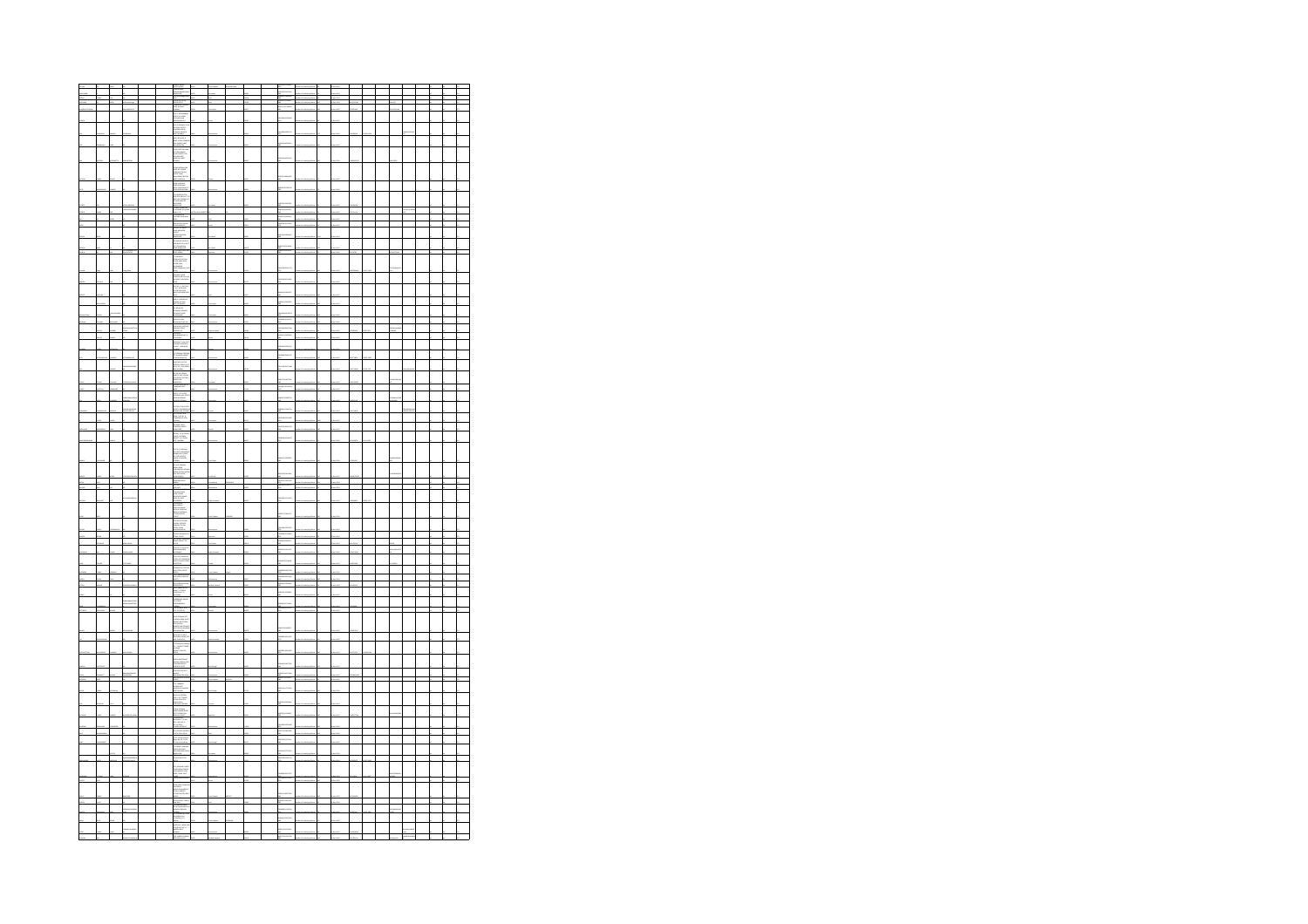|  |  |  | Ξ                                   |  |  |  |  |  |  |  |
|--|--|--|-------------------------------------|--|--|--|--|--|--|--|
|  |  |  |                                     |  |  |  |  |  |  |  |
|  |  |  |                                     |  |  |  |  |  |  |  |
|  |  |  |                                     |  |  |  |  |  |  |  |
|  |  |  | 1832-1940<br>1940-1944<br>1940-1944 |  |  |  |  |  |  |  |
|  |  |  |                                     |  |  |  |  |  |  |  |
|  |  |  |                                     |  |  |  |  |  |  |  |
|  |  |  |                                     |  |  |  |  |  |  |  |
|  |  |  |                                     |  |  |  |  |  |  |  |
|  |  |  |                                     |  |  |  |  |  |  |  |
|  |  |  | Ξ                                   |  |  |  |  |  |  |  |
|  |  |  |                                     |  |  |  |  |  |  |  |
|  |  |  |                                     |  |  |  |  |  |  |  |
|  |  |  |                                     |  |  |  |  |  |  |  |
|  |  |  |                                     |  |  |  |  |  |  |  |
|  |  |  |                                     |  |  |  |  |  |  |  |
|  |  |  |                                     |  |  |  |  |  |  |  |
|  |  |  |                                     |  |  |  |  |  |  |  |
|  |  |  |                                     |  |  |  |  |  |  |  |
|  |  |  |                                     |  |  |  |  |  |  |  |
|  |  |  |                                     |  |  |  |  |  |  |  |
|  |  |  |                                     |  |  |  |  |  |  |  |
|  |  |  | Þ                                   |  |  |  |  |  |  |  |
|  |  |  |                                     |  |  |  |  |  |  |  |
|  |  |  |                                     |  |  |  |  |  |  |  |
|  |  |  | an<br>Mari                          |  |  |  |  |  |  |  |
|  |  |  |                                     |  |  |  |  |  |  |  |
|  |  |  | E                                   |  |  |  |  |  |  |  |
|  |  |  |                                     |  |  |  |  |  |  |  |
|  |  |  |                                     |  |  |  |  |  |  |  |
|  |  |  |                                     |  |  |  |  |  |  |  |
|  |  |  |                                     |  |  |  |  |  |  |  |
|  |  |  |                                     |  |  |  |  |  |  |  |
|  |  |  | $-$                                 |  |  |  |  |  |  |  |
|  |  |  |                                     |  |  |  |  |  |  |  |
|  |  |  |                                     |  |  |  |  |  |  |  |
|  |  |  |                                     |  |  |  |  |  |  |  |
|  |  |  |                                     |  |  |  |  |  |  |  |
|  |  |  |                                     |  |  |  |  |  |  |  |
|  |  |  |                                     |  |  |  |  |  |  |  |
|  |  |  |                                     |  |  |  |  |  |  |  |
|  |  |  |                                     |  |  |  |  |  |  |  |
|  |  |  |                                     |  |  |  |  |  |  |  |
|  |  |  |                                     |  |  |  |  |  |  |  |
|  |  |  |                                     |  |  |  |  |  |  |  |
|  |  |  |                                     |  |  |  |  |  |  |  |
|  |  |  |                                     |  |  |  |  |  |  |  |
|  |  |  |                                     |  |  |  |  |  |  |  |
|  |  |  |                                     |  |  |  |  |  |  |  |
|  |  |  |                                     |  |  |  |  |  |  |  |
|  |  |  |                                     |  |  |  |  |  |  |  |
|  |  |  |                                     |  |  |  |  |  |  |  |
|  |  |  |                                     |  |  |  |  |  |  |  |
|  |  |  |                                     |  |  |  |  |  |  |  |
|  |  |  |                                     |  |  |  |  |  |  |  |
|  |  |  |                                     |  |  |  |  |  |  |  |
|  |  |  |                                     |  |  |  |  |  |  |  |
|  |  |  |                                     |  |  |  |  |  |  |  |
|  |  |  |                                     |  |  |  |  |  |  |  |
|  |  |  |                                     |  |  |  |  |  |  |  |
|  |  |  |                                     |  |  |  |  |  |  |  |
|  |  |  |                                     |  |  |  |  |  |  |  |
|  |  |  |                                     |  |  |  |  |  |  |  |
|  |  |  |                                     |  |  |  |  |  |  |  |
|  |  |  |                                     |  |  |  |  |  |  |  |
|  |  |  |                                     |  |  |  |  |  |  |  |
|  |  |  | È,                                  |  |  |  |  |  |  |  |
|  |  |  |                                     |  |  |  |  |  |  |  |
|  |  |  |                                     |  |  |  |  |  |  |  |
|  |  |  |                                     |  |  |  |  |  |  |  |
|  |  |  |                                     |  |  |  |  |  |  |  |
|  |  |  |                                     |  |  |  |  |  |  |  |
|  |  |  |                                     |  |  |  |  |  |  |  |
|  |  |  |                                     |  |  |  |  |  |  |  |
|  |  |  |                                     |  |  |  |  |  |  |  |
|  |  |  |                                     |  |  |  |  |  |  |  |
|  |  |  |                                     |  |  |  |  |  |  |  |
|  |  |  |                                     |  |  |  |  |  |  |  |
|  |  |  |                                     |  |  |  |  |  |  |  |
|  |  |  |                                     |  |  |  |  |  |  |  |
|  |  |  |                                     |  |  |  |  |  |  |  |
|  |  |  |                                     |  |  |  |  |  |  |  |
|  |  |  |                                     |  |  |  |  |  |  |  |
|  |  |  |                                     |  |  |  |  |  |  |  |
|  |  |  |                                     |  |  |  |  |  |  |  |
|  |  |  |                                     |  |  |  |  |  |  |  |
|  |  |  |                                     |  |  |  |  |  |  |  |
|  |  |  |                                     |  |  |  |  |  |  |  |
|  |  |  |                                     |  |  |  |  |  |  |  |
|  |  |  |                                     |  |  |  |  |  |  |  |
|  |  |  |                                     |  |  |  |  |  |  |  |
|  |  |  |                                     |  |  |  |  |  |  |  |
|  |  |  |                                     |  |  |  |  |  |  |  |
|  |  |  |                                     |  |  |  |  |  |  |  |
|  |  |  |                                     |  |  |  |  |  |  |  |
|  |  |  |                                     |  |  |  |  |  |  |  |
|  |  |  |                                     |  |  |  |  |  |  |  |
|  |  |  |                                     |  |  |  |  |  |  |  |
|  |  |  |                                     |  |  |  |  |  |  |  |
|  |  |  |                                     |  |  |  |  |  |  |  |
|  |  |  | men.<br>Heiming                     |  |  |  |  |  |  |  |
|  |  |  |                                     |  |  |  |  |  |  |  |
|  |  |  | $\frac{1}{1}$                       |  |  |  |  |  |  |  |
|  |  |  |                                     |  |  |  |  |  |  |  |
|  |  |  |                                     |  |  |  |  |  |  |  |
|  |  |  |                                     |  |  |  |  |  |  |  |
|  |  |  |                                     |  |  |  |  |  |  |  |
|  |  |  |                                     |  |  |  |  |  |  |  |
|  |  |  |                                     |  |  |  |  |  |  |  |
|  |  |  |                                     |  |  |  |  |  |  |  |
|  |  |  | ÷                                   |  |  |  |  |  |  |  |
|  |  |  |                                     |  |  |  |  |  |  |  |
|  |  |  |                                     |  |  |  |  |  |  |  |
|  |  |  |                                     |  |  |  |  |  |  |  |
|  |  |  |                                     |  |  |  |  |  |  |  |
|  |  |  |                                     |  |  |  |  |  |  |  |
|  |  |  |                                     |  |  |  |  |  |  |  |
|  |  |  |                                     |  |  |  |  |  |  |  |
|  |  |  |                                     |  |  |  |  |  |  |  |
|  |  |  |                                     |  |  |  |  |  |  |  |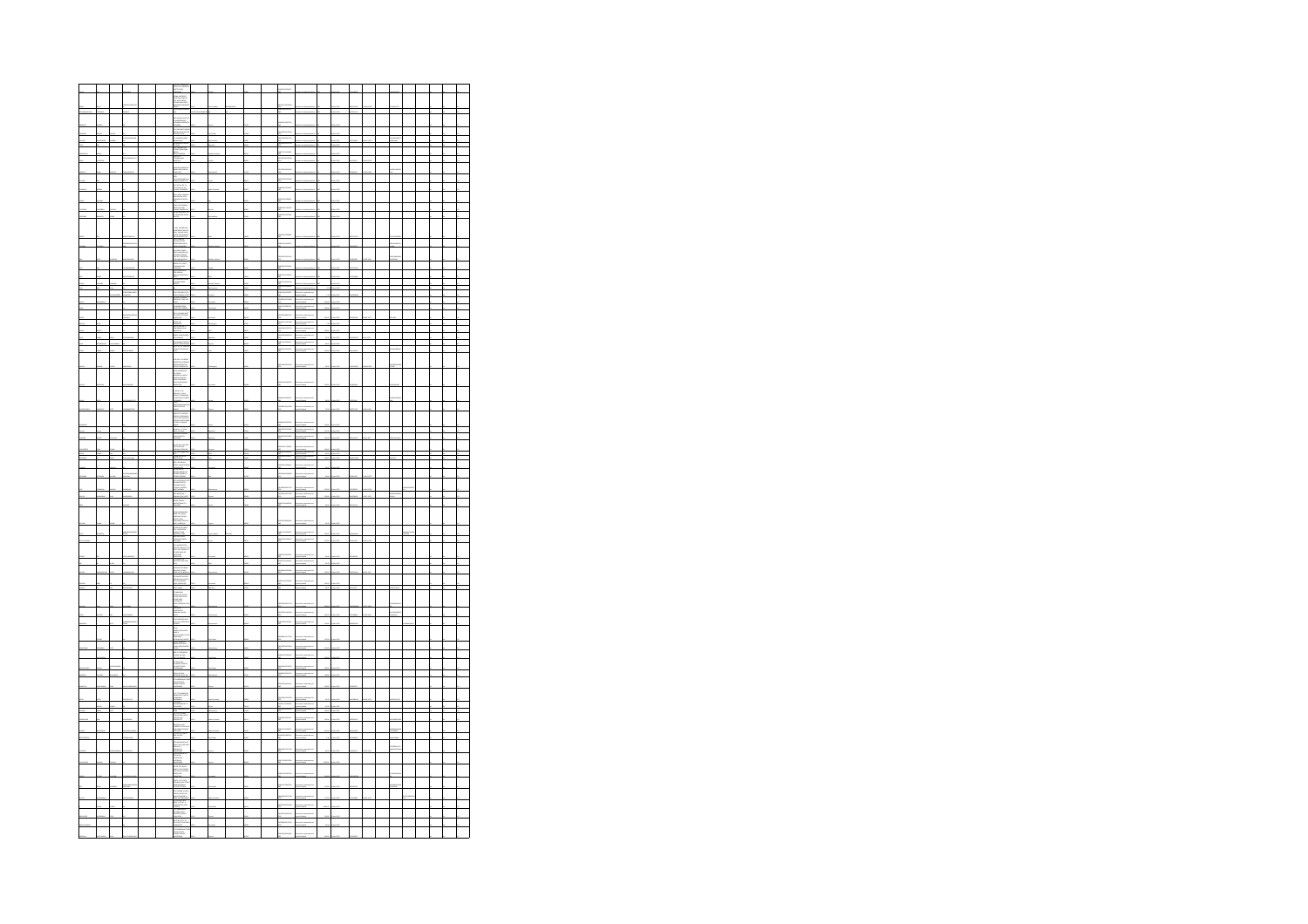|  |  |  | ÷.       |  |  |                                                                                                                                                                                                                                 |                                                              |  |  |  |  |  |  |
|--|--|--|----------|--|--|---------------------------------------------------------------------------------------------------------------------------------------------------------------------------------------------------------------------------------|--------------------------------------------------------------|--|--|--|--|--|--|
|  |  |  |          |  |  |                                                                                                                                                                                                                                 |                                                              |  |  |  |  |  |  |
|  |  |  | in de    |  |  |                                                                                                                                                                                                                                 |                                                              |  |  |  |  |  |  |
|  |  |  |          |  |  |                                                                                                                                                                                                                                 |                                                              |  |  |  |  |  |  |
|  |  |  |          |  |  |                                                                                                                                                                                                                                 |                                                              |  |  |  |  |  |  |
|  |  |  | ÷        |  |  |                                                                                                                                                                                                                                 |                                                              |  |  |  |  |  |  |
|  |  |  |          |  |  |                                                                                                                                                                                                                                 |                                                              |  |  |  |  |  |  |
|  |  |  |          |  |  |                                                                                                                                                                                                                                 |                                                              |  |  |  |  |  |  |
|  |  |  |          |  |  |                                                                                                                                                                                                                                 |                                                              |  |  |  |  |  |  |
|  |  |  |          |  |  |                                                                                                                                                                                                                                 |                                                              |  |  |  |  |  |  |
|  |  |  |          |  |  |                                                                                                                                                                                                                                 |                                                              |  |  |  |  |  |  |
|  |  |  |          |  |  |                                                                                                                                                                                                                                 |                                                              |  |  |  |  |  |  |
|  |  |  |          |  |  |                                                                                                                                                                                                                                 |                                                              |  |  |  |  |  |  |
|  |  |  |          |  |  |                                                                                                                                                                                                                                 |                                                              |  |  |  |  |  |  |
|  |  |  |          |  |  |                                                                                                                                                                                                                                 |                                                              |  |  |  |  |  |  |
|  |  |  |          |  |  |                                                                                                                                                                                                                                 |                                                              |  |  |  |  |  |  |
|  |  |  |          |  |  |                                                                                                                                                                                                                                 |                                                              |  |  |  |  |  |  |
|  |  |  |          |  |  |                                                                                                                                                                                                                                 |                                                              |  |  |  |  |  |  |
|  |  |  |          |  |  |                                                                                                                                                                                                                                 |                                                              |  |  |  |  |  |  |
|  |  |  |          |  |  |                                                                                                                                                                                                                                 |                                                              |  |  |  |  |  |  |
|  |  |  |          |  |  |                                                                                                                                                                                                                                 |                                                              |  |  |  |  |  |  |
|  |  |  |          |  |  |                                                                                                                                                                                                                                 |                                                              |  |  |  |  |  |  |
|  |  |  |          |  |  |                                                                                                                                                                                                                                 |                                                              |  |  |  |  |  |  |
|  |  |  |          |  |  |                                                                                                                                                                                                                                 |                                                              |  |  |  |  |  |  |
|  |  |  |          |  |  |                                                                                                                                                                                                                                 |                                                              |  |  |  |  |  |  |
|  |  |  |          |  |  |                                                                                                                                                                                                                                 |                                                              |  |  |  |  |  |  |
|  |  |  |          |  |  |                                                                                                                                                                                                                                 |                                                              |  |  |  |  |  |  |
|  |  |  |          |  |  |                                                                                                                                                                                                                                 |                                                              |  |  |  |  |  |  |
|  |  |  |          |  |  |                                                                                                                                                                                                                                 |                                                              |  |  |  |  |  |  |
|  |  |  |          |  |  |                                                                                                                                                                                                                                 |                                                              |  |  |  |  |  |  |
|  |  |  |          |  |  |                                                                                                                                                                                                                                 |                                                              |  |  |  |  |  |  |
|  |  |  |          |  |  |                                                                                                                                                                                                                                 |                                                              |  |  |  |  |  |  |
|  |  |  |          |  |  |                                                                                                                                                                                                                                 |                                                              |  |  |  |  |  |  |
|  |  |  |          |  |  |                                                                                                                                                                                                                                 |                                                              |  |  |  |  |  |  |
|  |  |  | $\equiv$ |  |  |                                                                                                                                                                                                                                 |                                                              |  |  |  |  |  |  |
|  |  |  |          |  |  |                                                                                                                                                                                                                                 |                                                              |  |  |  |  |  |  |
|  |  |  |          |  |  |                                                                                                                                                                                                                                 |                                                              |  |  |  |  |  |  |
|  |  |  |          |  |  |                                                                                                                                                                                                                                 |                                                              |  |  |  |  |  |  |
|  |  |  |          |  |  |                                                                                                                                                                                                                                 |                                                              |  |  |  |  |  |  |
|  |  |  |          |  |  |                                                                                                                                                                                                                                 |                                                              |  |  |  |  |  |  |
|  |  |  |          |  |  |                                                                                                                                                                                                                                 |                                                              |  |  |  |  |  |  |
|  |  |  |          |  |  |                                                                                                                                                                                                                                 |                                                              |  |  |  |  |  |  |
|  |  |  |          |  |  |                                                                                                                                                                                                                                 |                                                              |  |  |  |  |  |  |
|  |  |  |          |  |  |                                                                                                                                                                                                                                 |                                                              |  |  |  |  |  |  |
|  |  |  |          |  |  | en en de la familie de la familie de la familie de la familie de la familie de la familie de la familie de la<br>Casa de la familie de la familie de la familie de la familie de la familie de la familie de la familie de la f | the first performed and<br>grad financial<br><b>ALCOHOL:</b> |  |  |  |  |  |  |
|  |  |  |          |  |  |                                                                                                                                                                                                                                 |                                                              |  |  |  |  |  |  |
|  |  |  |          |  |  |                                                                                                                                                                                                                                 |                                                              |  |  |  |  |  |  |
|  |  |  |          |  |  |                                                                                                                                                                                                                                 |                                                              |  |  |  |  |  |  |
|  |  |  |          |  |  |                                                                                                                                                                                                                                 |                                                              |  |  |  |  |  |  |
|  |  |  |          |  |  |                                                                                                                                                                                                                                 |                                                              |  |  |  |  |  |  |
|  |  |  | an an    |  |  |                                                                                                                                                                                                                                 |                                                              |  |  |  |  |  |  |
|  |  |  |          |  |  |                                                                                                                                                                                                                                 |                                                              |  |  |  |  |  |  |
|  |  |  |          |  |  |                                                                                                                                                                                                                                 |                                                              |  |  |  |  |  |  |
|  |  |  |          |  |  |                                                                                                                                                                                                                                 |                                                              |  |  |  |  |  |  |
|  |  |  |          |  |  |                                                                                                                                                                                                                                 |                                                              |  |  |  |  |  |  |
|  |  |  |          |  |  |                                                                                                                                                                                                                                 |                                                              |  |  |  |  |  |  |
|  |  |  |          |  |  |                                                                                                                                                                                                                                 |                                                              |  |  |  |  |  |  |
|  |  |  |          |  |  |                                                                                                                                                                                                                                 |                                                              |  |  |  |  |  |  |
|  |  |  |          |  |  |                                                                                                                                                                                                                                 |                                                              |  |  |  |  |  |  |
|  |  |  |          |  |  |                                                                                                                                                                                                                                 |                                                              |  |  |  |  |  |  |
|  |  |  |          |  |  |                                                                                                                                                                                                                                 |                                                              |  |  |  |  |  |  |
|  |  |  |          |  |  |                                                                                                                                                                                                                                 | $\sim$                                                       |  |  |  |  |  |  |
|  |  |  |          |  |  |                                                                                                                                                                                                                                 |                                                              |  |  |  |  |  |  |
|  |  |  |          |  |  |                                                                                                                                                                                                                                 |                                                              |  |  |  |  |  |  |
|  |  |  |          |  |  |                                                                                                                                                                                                                                 |                                                              |  |  |  |  |  |  |
|  |  |  |          |  |  |                                                                                                                                                                                                                                 |                                                              |  |  |  |  |  |  |
|  |  |  |          |  |  |                                                                                                                                                                                                                                 |                                                              |  |  |  |  |  |  |
|  |  |  |          |  |  |                                                                                                                                                                                                                                 |                                                              |  |  |  |  |  |  |
|  |  |  |          |  |  |                                                                                                                                                                                                                                 |                                                              |  |  |  |  |  |  |
|  |  |  |          |  |  |                                                                                                                                                                                                                                 |                                                              |  |  |  |  |  |  |
|  |  |  |          |  |  |                                                                                                                                                                                                                                 |                                                              |  |  |  |  |  |  |
|  |  |  |          |  |  |                                                                                                                                                                                                                                 |                                                              |  |  |  |  |  |  |
|  |  |  |          |  |  |                                                                                                                                                                                                                                 |                                                              |  |  |  |  |  |  |
|  |  |  |          |  |  |                                                                                                                                                                                                                                 |                                                              |  |  |  |  |  |  |
|  |  |  |          |  |  |                                                                                                                                                                                                                                 |                                                              |  |  |  |  |  |  |
|  |  |  |          |  |  |                                                                                                                                                                                                                                 |                                                              |  |  |  |  |  |  |
|  |  |  |          |  |  |                                                                                                                                                                                                                                 |                                                              |  |  |  |  |  |  |
|  |  |  |          |  |  |                                                                                                                                                                                                                                 |                                                              |  |  |  |  |  |  |
|  |  |  |          |  |  |                                                                                                                                                                                                                                 |                                                              |  |  |  |  |  |  |
|  |  |  |          |  |  |                                                                                                                                                                                                                                 |                                                              |  |  |  |  |  |  |
|  |  |  |          |  |  |                                                                                                                                                                                                                                 |                                                              |  |  |  |  |  |  |
|  |  |  |          |  |  |                                                                                                                                                                                                                                 |                                                              |  |  |  |  |  |  |
|  |  |  |          |  |  |                                                                                                                                                                                                                                 |                                                              |  |  |  |  |  |  |
|  |  |  |          |  |  |                                                                                                                                                                                                                                 |                                                              |  |  |  |  |  |  |
|  |  |  |          |  |  |                                                                                                                                                                                                                                 |                                                              |  |  |  |  |  |  |
|  |  |  |          |  |  |                                                                                                                                                                                                                                 |                                                              |  |  |  |  |  |  |
|  |  |  |          |  |  |                                                                                                                                                                                                                                 |                                                              |  |  |  |  |  |  |
|  |  |  |          |  |  |                                                                                                                                                                                                                                 |                                                              |  |  |  |  |  |  |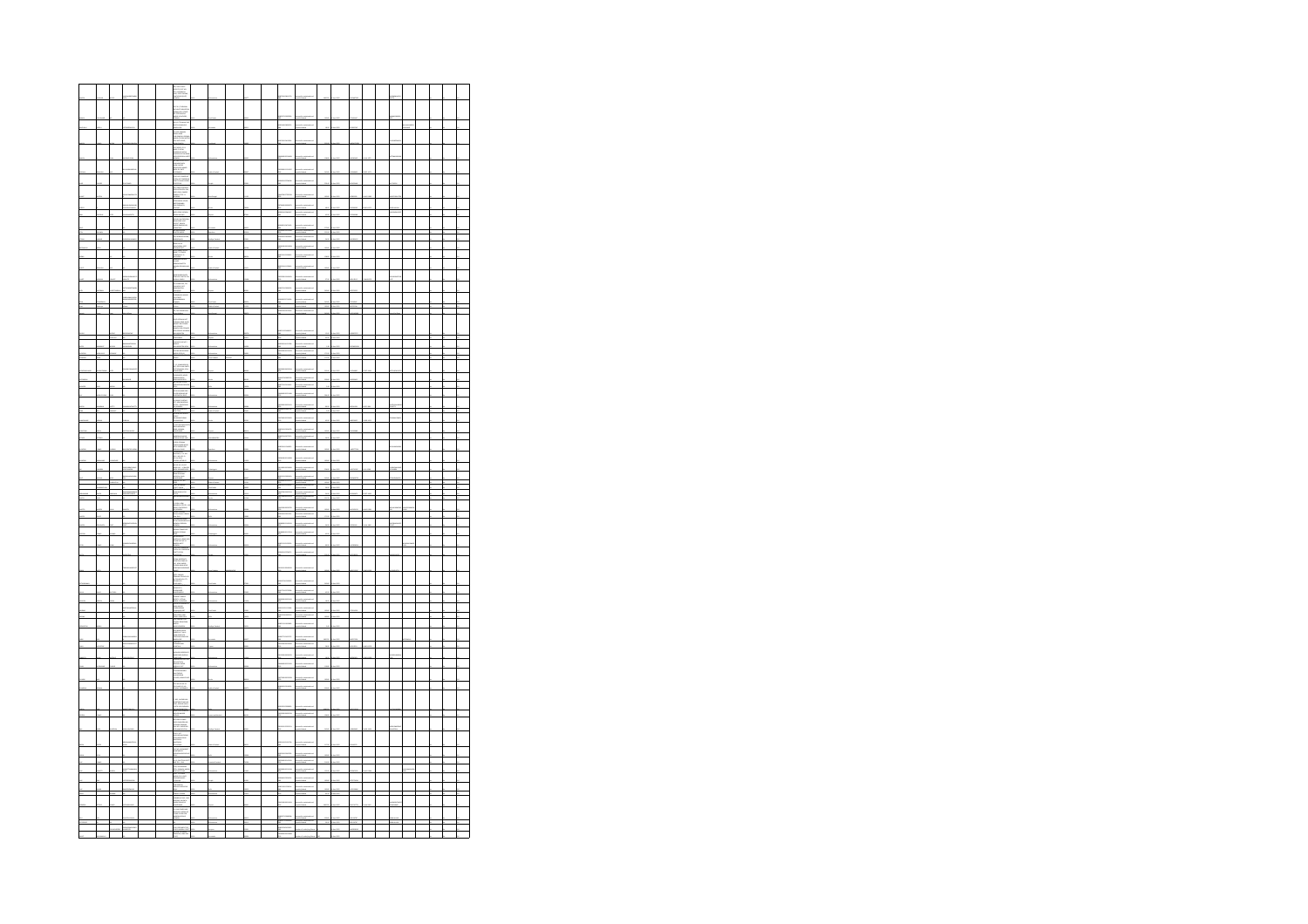|  |  |  | <b>STORY</b> |  |  |  |  |  |  |
|--|--|--|--------------|--|--|--|--|--|--|
|  |  |  |              |  |  |  |  |  |  |
|  |  |  |              |  |  |  |  |  |  |
|  |  |  |              |  |  |  |  |  |  |
|  |  |  |              |  |  |  |  |  |  |
|  |  |  |              |  |  |  |  |  |  |
|  |  |  |              |  |  |  |  |  |  |
|  |  |  |              |  |  |  |  |  |  |
|  |  |  |              |  |  |  |  |  |  |
|  |  |  |              |  |  |  |  |  |  |
|  |  |  |              |  |  |  |  |  |  |
|  |  |  |              |  |  |  |  |  |  |
|  |  |  |              |  |  |  |  |  |  |
|  |  |  |              |  |  |  |  |  |  |
|  |  |  |              |  |  |  |  |  |  |
|  |  |  |              |  |  |  |  |  |  |
|  |  |  |              |  |  |  |  |  |  |
|  |  |  |              |  |  |  |  |  |  |
|  |  |  |              |  |  |  |  |  |  |
|  |  |  |              |  |  |  |  |  |  |
|  |  |  |              |  |  |  |  |  |  |
|  |  |  |              |  |  |  |  |  |  |
|  |  |  |              |  |  |  |  |  |  |
|  |  |  |              |  |  |  |  |  |  |
|  |  |  |              |  |  |  |  |  |  |
|  |  |  |              |  |  |  |  |  |  |
|  |  |  |              |  |  |  |  |  |  |
|  |  |  |              |  |  |  |  |  |  |
|  |  |  |              |  |  |  |  |  |  |
|  |  |  |              |  |  |  |  |  |  |
|  |  |  |              |  |  |  |  |  |  |
|  |  |  |              |  |  |  |  |  |  |
|  |  |  |              |  |  |  |  |  |  |
|  |  |  |              |  |  |  |  |  |  |
|  |  |  |              |  |  |  |  |  |  |
|  |  |  |              |  |  |  |  |  |  |
|  |  |  |              |  |  |  |  |  |  |
|  |  |  |              |  |  |  |  |  |  |
|  |  |  |              |  |  |  |  |  |  |
|  |  |  |              |  |  |  |  |  |  |
|  |  |  |              |  |  |  |  |  |  |
|  |  |  |              |  |  |  |  |  |  |
|  |  |  |              |  |  |  |  |  |  |
|  |  |  |              |  |  |  |  |  |  |
|  |  |  |              |  |  |  |  |  |  |
|  |  |  |              |  |  |  |  |  |  |
|  |  |  |              |  |  |  |  |  |  |
|  |  |  |              |  |  |  |  |  |  |
|  |  |  |              |  |  |  |  |  |  |
|  |  |  |              |  |  |  |  |  |  |
|  |  |  |              |  |  |  |  |  |  |
|  |  |  |              |  |  |  |  |  |  |
|  |  |  |              |  |  |  |  |  |  |
|  |  |  |              |  |  |  |  |  |  |
|  |  |  |              |  |  |  |  |  |  |
|  |  |  |              |  |  |  |  |  |  |
|  |  |  |              |  |  |  |  |  |  |
|  |  |  |              |  |  |  |  |  |  |
|  |  |  |              |  |  |  |  |  |  |
|  |  |  |              |  |  |  |  |  |  |
|  |  |  |              |  |  |  |  |  |  |
|  |  |  |              |  |  |  |  |  |  |
|  |  |  |              |  |  |  |  |  |  |
|  |  |  |              |  |  |  |  |  |  |
|  |  |  |              |  |  |  |  |  |  |
|  |  |  |              |  |  |  |  |  |  |
|  |  |  |              |  |  |  |  |  |  |
|  |  |  |              |  |  |  |  |  |  |
|  |  |  |              |  |  |  |  |  |  |
|  |  |  |              |  |  |  |  |  |  |
|  |  |  |              |  |  |  |  |  |  |
|  |  |  |              |  |  |  |  |  |  |
|  |  |  |              |  |  |  |  |  |  |
|  |  |  | $-200$       |  |  |  |  |  |  |
|  |  |  |              |  |  |  |  |  |  |
|  |  |  |              |  |  |  |  |  |  |
|  |  |  |              |  |  |  |  |  |  |
|  |  |  |              |  |  |  |  |  |  |
|  |  |  |              |  |  |  |  |  |  |
|  |  |  |              |  |  |  |  |  |  |
|  |  |  |              |  |  |  |  |  |  |
|  |  |  |              |  |  |  |  |  |  |
|  |  |  |              |  |  |  |  |  |  |
|  |  |  |              |  |  |  |  |  |  |
|  |  |  |              |  |  |  |  |  |  |
|  |  |  |              |  |  |  |  |  |  |
|  |  |  |              |  |  |  |  |  |  |
|  |  |  |              |  |  |  |  |  |  |
|  |  |  |              |  |  |  |  |  |  |
|  |  |  |              |  |  |  |  |  |  |
|  |  |  |              |  |  |  |  |  |  |
|  |  |  |              |  |  |  |  |  |  |
|  |  |  |              |  |  |  |  |  |  |
|  |  |  |              |  |  |  |  |  |  |
|  |  |  |              |  |  |  |  |  |  |
|  |  |  |              |  |  |  |  |  |  |
|  |  |  |              |  |  |  |  |  |  |
|  |  |  |              |  |  |  |  |  |  |
|  |  |  |              |  |  |  |  |  |  |
|  |  |  |              |  |  |  |  |  |  |
|  |  |  |              |  |  |  |  |  |  |
|  |  |  |              |  |  |  |  |  |  |
|  |  |  |              |  |  |  |  |  |  |
|  |  |  |              |  |  |  |  |  |  |
|  |  |  |              |  |  |  |  |  |  |
|  |  |  |              |  |  |  |  |  |  |
|  |  |  |              |  |  |  |  |  |  |
|  |  |  |              |  |  |  |  |  |  |
|  |  |  |              |  |  |  |  |  |  |
|  |  |  |              |  |  |  |  |  |  |
|  |  |  |              |  |  |  |  |  |  |
|  |  |  |              |  |  |  |  |  |  |
|  |  |  |              |  |  |  |  |  |  |
|  |  |  |              |  |  |  |  |  |  |
|  |  |  |              |  |  |  |  |  |  |
|  |  |  |              |  |  |  |  |  |  |
|  |  |  |              |  |  |  |  |  |  |
|  |  |  |              |  |  |  |  |  |  |
|  |  |  |              |  |  |  |  |  |  |
|  |  |  |              |  |  |  |  |  |  |
|  |  |  |              |  |  |  |  |  |  |
|  |  |  |              |  |  |  |  |  |  |
|  |  |  |              |  |  |  |  |  |  |
|  |  |  |              |  |  |  |  |  |  |
|  |  |  |              |  |  |  |  |  |  |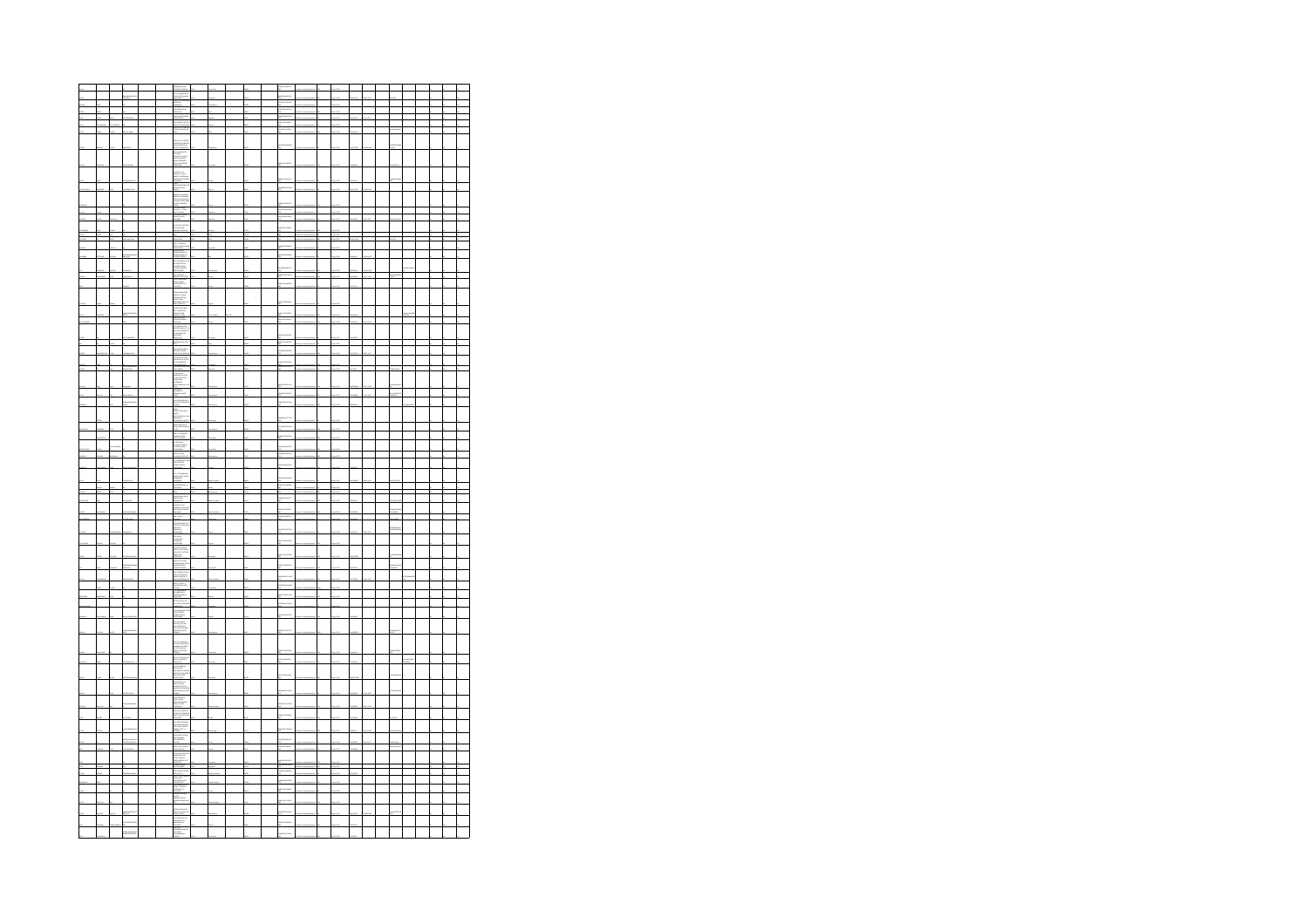|  |  |  |                                                                                                                                                                                                                                         |  |  | -----                         |  |  |  |  |  |  |
|--|--|--|-----------------------------------------------------------------------------------------------------------------------------------------------------------------------------------------------------------------------------------------|--|--|-------------------------------|--|--|--|--|--|--|
|  |  |  |                                                                                                                                                                                                                                         |  |  | <b>START</b>                  |  |  |  |  |  |  |
|  |  |  |                                                                                                                                                                                                                                         |  |  |                               |  |  |  |  |  |  |
|  |  |  |                                                                                                                                                                                                                                         |  |  |                               |  |  |  |  |  |  |
|  |  |  |                                                                                                                                                                                                                                         |  |  |                               |  |  |  |  |  |  |
|  |  |  | 107 (1083~10)<br>1083:<br>1083: 1083<br>1185: 1083: 1083<br>1185: 1083: 1083<br>1285: 1083: 1083<br>1083: 1083: 1083                                                                                                                    |  |  |                               |  |  |  |  |  |  |
|  |  |  |                                                                                                                                                                                                                                         |  |  |                               |  |  |  |  |  |  |
|  |  |  |                                                                                                                                                                                                                                         |  |  |                               |  |  |  |  |  |  |
|  |  |  |                                                                                                                                                                                                                                         |  |  |                               |  |  |  |  |  |  |
|  |  |  |                                                                                                                                                                                                                                         |  |  |                               |  |  |  |  |  |  |
|  |  |  |                                                                                                                                                                                                                                         |  |  |                               |  |  |  |  |  |  |
|  |  |  |                                                                                                                                                                                                                                         |  |  |                               |  |  |  |  |  |  |
|  |  |  |                                                                                                                                                                                                                                         |  |  |                               |  |  |  |  |  |  |
|  |  |  |                                                                                                                                                                                                                                         |  |  |                               |  |  |  |  |  |  |
|  |  |  |                                                                                                                                                                                                                                         |  |  |                               |  |  |  |  |  |  |
|  |  |  |                                                                                                                                                                                                                                         |  |  | $\overline{\phantom{a}}$      |  |  |  |  |  |  |
|  |  |  |                                                                                                                                                                                                                                         |  |  |                               |  |  |  |  |  |  |
|  |  |  |                                                                                                                                                                                                                                         |  |  |                               |  |  |  |  |  |  |
|  |  |  | dia kaominina dia<br>1930an<br>1930an metampiasa kaominina dia kaominina mpikambana amin'ny fivondronan-kaominina mpikambana amin'ny fivondronan-kaominina amin'ny fivondronan-kaominina ara-<br>1930an - Johann John Lee, amin'ny fivo |  |  |                               |  |  |  |  |  |  |
|  |  |  |                                                                                                                                                                                                                                         |  |  | <b><i><u>Property</u></i></b> |  |  |  |  |  |  |
|  |  |  | ÷                                                                                                                                                                                                                                       |  |  |                               |  |  |  |  |  |  |
|  |  |  |                                                                                                                                                                                                                                         |  |  |                               |  |  |  |  |  |  |
|  |  |  | $\frac{1}{2}$                                                                                                                                                                                                                           |  |  |                               |  |  |  |  |  |  |
|  |  |  |                                                                                                                                                                                                                                         |  |  | arrances.                     |  |  |  |  |  |  |
|  |  |  |                                                                                                                                                                                                                                         |  |  |                               |  |  |  |  |  |  |
|  |  |  |                                                                                                                                                                                                                                         |  |  |                               |  |  |  |  |  |  |
|  |  |  | Ξ                                                                                                                                                                                                                                       |  |  |                               |  |  |  |  |  |  |
|  |  |  |                                                                                                                                                                                                                                         |  |  |                               |  |  |  |  |  |  |
|  |  |  | $\frac{1}{2}$                                                                                                                                                                                                                           |  |  |                               |  |  |  |  |  |  |
|  |  |  |                                                                                                                                                                                                                                         |  |  |                               |  |  |  |  |  |  |
|  |  |  |                                                                                                                                                                                                                                         |  |  |                               |  |  |  |  |  |  |
|  |  |  |                                                                                                                                                                                                                                         |  |  |                               |  |  |  |  |  |  |
|  |  |  | $\frac{1}{2}$                                                                                                                                                                                                                           |  |  |                               |  |  |  |  |  |  |
|  |  |  |                                                                                                                                                                                                                                         |  |  |                               |  |  |  |  |  |  |
|  |  |  |                                                                                                                                                                                                                                         |  |  |                               |  |  |  |  |  |  |
|  |  |  |                                                                                                                                                                                                                                         |  |  |                               |  |  |  |  |  |  |
|  |  |  | ż                                                                                                                                                                                                                                       |  |  |                               |  |  |  |  |  |  |
|  |  |  |                                                                                                                                                                                                                                         |  |  |                               |  |  |  |  |  |  |
|  |  |  |                                                                                                                                                                                                                                         |  |  |                               |  |  |  |  |  |  |
|  |  |  | 5,000,000<br>2000,000,000<br>2000,000,000<br>2000,000                                                                                                                                                                                   |  |  |                               |  |  |  |  |  |  |
|  |  |  |                                                                                                                                                                                                                                         |  |  |                               |  |  |  |  |  |  |
|  |  |  | ь.                                                                                                                                                                                                                                      |  |  |                               |  |  |  |  |  |  |
|  |  |  |                                                                                                                                                                                                                                         |  |  |                               |  |  |  |  |  |  |
|  |  |  |                                                                                                                                                                                                                                         |  |  |                               |  |  |  |  |  |  |
|  |  |  |                                                                                                                                                                                                                                         |  |  |                               |  |  |  |  |  |  |
|  |  |  |                                                                                                                                                                                                                                         |  |  |                               |  |  |  |  |  |  |
|  |  |  |                                                                                                                                                                                                                                         |  |  |                               |  |  |  |  |  |  |
|  |  |  |                                                                                                                                                                                                                                         |  |  |                               |  |  |  |  |  |  |
|  |  |  |                                                                                                                                                                                                                                         |  |  |                               |  |  |  |  |  |  |
|  |  |  |                                                                                                                                                                                                                                         |  |  |                               |  |  |  |  |  |  |
|  |  |  | $\mathbb{R}$                                                                                                                                                                                                                            |  |  |                               |  |  |  |  |  |  |
|  |  |  |                                                                                                                                                                                                                                         |  |  |                               |  |  |  |  |  |  |
|  |  |  |                                                                                                                                                                                                                                         |  |  |                               |  |  |  |  |  |  |
|  |  |  |                                                                                                                                                                                                                                         |  |  |                               |  |  |  |  |  |  |
|  |  |  |                                                                                                                                                                                                                                         |  |  |                               |  |  |  |  |  |  |
|  |  |  |                                                                                                                                                                                                                                         |  |  |                               |  |  |  |  |  |  |
|  |  |  |                                                                                                                                                                                                                                         |  |  |                               |  |  |  |  |  |  |
|  |  |  |                                                                                                                                                                                                                                         |  |  |                               |  |  |  |  |  |  |
|  |  |  |                                                                                                                                                                                                                                         |  |  |                               |  |  |  |  |  |  |
|  |  |  |                                                                                                                                                                                                                                         |  |  |                               |  |  |  |  |  |  |
|  |  |  |                                                                                                                                                                                                                                         |  |  |                               |  |  |  |  |  |  |
|  |  |  | $\overline{\phantom{a}}$                                                                                                                                                                                                                |  |  |                               |  |  |  |  |  |  |
|  |  |  |                                                                                                                                                                                                                                         |  |  |                               |  |  |  |  |  |  |
|  |  |  |                                                                                                                                                                                                                                         |  |  |                               |  |  |  |  |  |  |
|  |  |  |                                                                                                                                                                                                                                         |  |  |                               |  |  |  |  |  |  |
|  |  |  | ÷                                                                                                                                                                                                                                       |  |  |                               |  |  |  |  |  |  |
|  |  |  | <b>COMPANY</b>                                                                                                                                                                                                                          |  |  |                               |  |  |  |  |  |  |
|  |  |  |                                                                                                                                                                                                                                         |  |  |                               |  |  |  |  |  |  |
|  |  |  | $\overline{\phantom{a}}$                                                                                                                                                                                                                |  |  |                               |  |  |  |  |  |  |
|  |  |  | Ξ                                                                                                                                                                                                                                       |  |  |                               |  |  |  |  |  |  |
|  |  |  |                                                                                                                                                                                                                                         |  |  |                               |  |  |  |  |  |  |
|  |  |  | È                                                                                                                                                                                                                                       |  |  | $\cdots$                      |  |  |  |  |  |  |
|  |  |  |                                                                                                                                                                                                                                         |  |  |                               |  |  |  |  |  |  |
|  |  |  |                                                                                                                                                                                                                                         |  |  |                               |  |  |  |  |  |  |
|  |  |  |                                                                                                                                                                                                                                         |  |  |                               |  |  |  |  |  |  |
|  |  |  |                                                                                                                                                                                                                                         |  |  |                               |  |  |  |  |  |  |
|  |  |  |                                                                                                                                                                                                                                         |  |  |                               |  |  |  |  |  |  |
|  |  |  |                                                                                                                                                                                                                                         |  |  |                               |  |  |  |  |  |  |
|  |  |  |                                                                                                                                                                                                                                         |  |  |                               |  |  |  |  |  |  |
|  |  |  |                                                                                                                                                                                                                                         |  |  |                               |  |  |  |  |  |  |
|  |  |  |                                                                                                                                                                                                                                         |  |  |                               |  |  |  |  |  |  |
|  |  |  |                                                                                                                                                                                                                                         |  |  |                               |  |  |  |  |  |  |
|  |  |  | Þ                                                                                                                                                                                                                                       |  |  |                               |  |  |  |  |  |  |
|  |  |  |                                                                                                                                                                                                                                         |  |  |                               |  |  |  |  |  |  |
|  |  |  |                                                                                                                                                                                                                                         |  |  |                               |  |  |  |  |  |  |
|  |  |  |                                                                                                                                                                                                                                         |  |  |                               |  |  |  |  |  |  |
|  |  |  |                                                                                                                                                                                                                                         |  |  |                               |  |  |  |  |  |  |
|  |  |  |                                                                                                                                                                                                                                         |  |  |                               |  |  |  |  |  |  |
|  |  |  |                                                                                                                                                                                                                                         |  |  |                               |  |  |  |  |  |  |
|  |  |  | unt annua<br>Frienda<br>Friendalen                                                                                                                                                                                                      |  |  |                               |  |  |  |  |  |  |
|  |  |  | $\frac{1}{2}$                                                                                                                                                                                                                           |  |  |                               |  |  |  |  |  |  |
|  |  |  |                                                                                                                                                                                                                                         |  |  |                               |  |  |  |  |  |  |
|  |  |  |                                                                                                                                                                                                                                         |  |  |                               |  |  |  |  |  |  |
|  |  |  |                                                                                                                                                                                                                                         |  |  |                               |  |  |  |  |  |  |
|  |  |  | an ana                                                                                                                                                                                                                                  |  |  |                               |  |  |  |  |  |  |
|  |  |  |                                                                                                                                                                                                                                         |  |  |                               |  |  |  |  |  |  |
|  |  |  |                                                                                                                                                                                                                                         |  |  |                               |  |  |  |  |  |  |
|  |  |  |                                                                                                                                                                                                                                         |  |  |                               |  |  |  |  |  |  |
|  |  |  |                                                                                                                                                                                                                                         |  |  |                               |  |  |  |  |  |  |
|  |  |  |                                                                                                                                                                                                                                         |  |  |                               |  |  |  |  |  |  |
|  |  |  |                                                                                                                                                                                                                                         |  |  |                               |  |  |  |  |  |  |
|  |  |  |                                                                                                                                                                                                                                         |  |  |                               |  |  |  |  |  |  |
|  |  |  |                                                                                                                                                                                                                                         |  |  |                               |  |  |  |  |  |  |
|  |  |  |                                                                                                                                                                                                                                         |  |  |                               |  |  |  |  |  |  |
|  |  |  |                                                                                                                                                                                                                                         |  |  |                               |  |  |  |  |  |  |
|  |  |  |                                                                                                                                                                                                                                         |  |  |                               |  |  |  |  |  |  |
|  |  |  |                                                                                                                                                                                                                                         |  |  |                               |  |  |  |  |  |  |
|  |  |  |                                                                                                                                                                                                                                         |  |  |                               |  |  |  |  |  |  |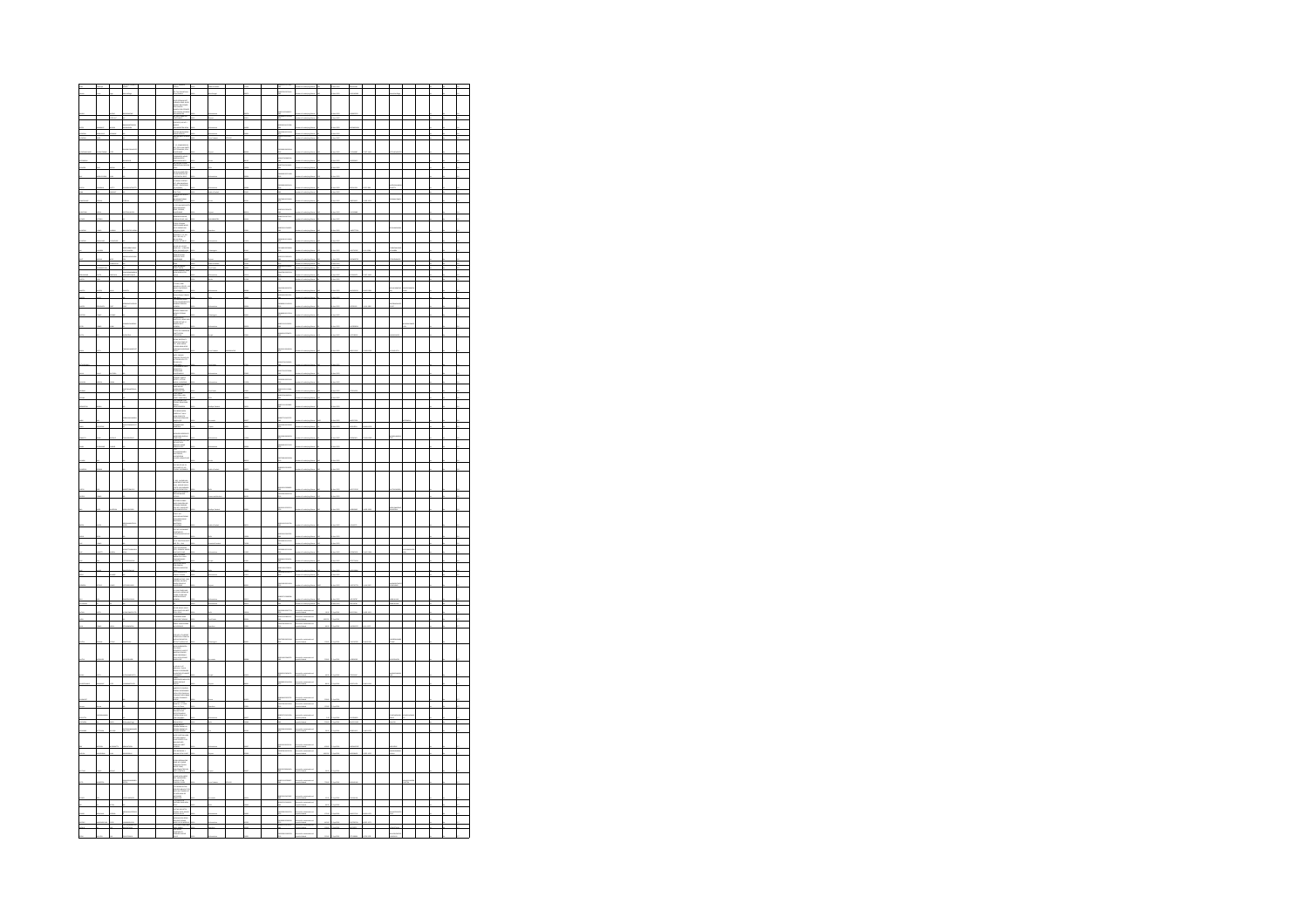|  |  |  | b.      |  |  |  |                                |  |  |  |  |  |  |
|--|--|--|---------|--|--|--|--------------------------------|--|--|--|--|--|--|
|  |  |  |         |  |  |  |                                |  |  |  |  |  |  |
|  |  |  |         |  |  |  |                                |  |  |  |  |  |  |
|  |  |  |         |  |  |  |                                |  |  |  |  |  |  |
|  |  |  |         |  |  |  |                                |  |  |  |  |  |  |
|  |  |  |         |  |  |  |                                |  |  |  |  |  |  |
|  |  |  |         |  |  |  |                                |  |  |  |  |  |  |
|  |  |  |         |  |  |  |                                |  |  |  |  |  |  |
|  |  |  |         |  |  |  |                                |  |  |  |  |  |  |
|  |  |  |         |  |  |  |                                |  |  |  |  |  |  |
|  |  |  |         |  |  |  |                                |  |  |  |  |  |  |
|  |  |  |         |  |  |  |                                |  |  |  |  |  |  |
|  |  |  |         |  |  |  |                                |  |  |  |  |  |  |
|  |  |  |         |  |  |  |                                |  |  |  |  |  |  |
|  |  |  |         |  |  |  |                                |  |  |  |  |  |  |
|  |  |  |         |  |  |  |                                |  |  |  |  |  |  |
|  |  |  |         |  |  |  |                                |  |  |  |  |  |  |
|  |  |  |         |  |  |  |                                |  |  |  |  |  |  |
|  |  |  |         |  |  |  |                                |  |  |  |  |  |  |
|  |  |  |         |  |  |  |                                |  |  |  |  |  |  |
|  |  |  |         |  |  |  |                                |  |  |  |  |  |  |
|  |  |  |         |  |  |  |                                |  |  |  |  |  |  |
|  |  |  |         |  |  |  |                                |  |  |  |  |  |  |
|  |  |  |         |  |  |  |                                |  |  |  |  |  |  |
|  |  |  |         |  |  |  |                                |  |  |  |  |  |  |
|  |  |  |         |  |  |  |                                |  |  |  |  |  |  |
|  |  |  |         |  |  |  |                                |  |  |  |  |  |  |
|  |  |  |         |  |  |  |                                |  |  |  |  |  |  |
|  |  |  |         |  |  |  |                                |  |  |  |  |  |  |
|  |  |  |         |  |  |  |                                |  |  |  |  |  |  |
|  |  |  |         |  |  |  |                                |  |  |  |  |  |  |
|  |  |  |         |  |  |  |                                |  |  |  |  |  |  |
|  |  |  |         |  |  |  |                                |  |  |  |  |  |  |
|  |  |  |         |  |  |  |                                |  |  |  |  |  |  |
|  |  |  | $-1000$ |  |  |  |                                |  |  |  |  |  |  |
|  |  |  |         |  |  |  |                                |  |  |  |  |  |  |
|  |  |  |         |  |  |  |                                |  |  |  |  |  |  |
|  |  |  |         |  |  |  |                                |  |  |  |  |  |  |
|  |  |  |         |  |  |  |                                |  |  |  |  |  |  |
|  |  |  |         |  |  |  |                                |  |  |  |  |  |  |
|  |  |  |         |  |  |  |                                |  |  |  |  |  |  |
|  |  |  |         |  |  |  |                                |  |  |  |  |  |  |
|  |  |  |         |  |  |  |                                |  |  |  |  |  |  |
|  |  |  |         |  |  |  |                                |  |  |  |  |  |  |
|  |  |  |         |  |  |  |                                |  |  |  |  |  |  |
|  |  |  |         |  |  |  |                                |  |  |  |  |  |  |
|  |  |  |         |  |  |  |                                |  |  |  |  |  |  |
|  |  |  |         |  |  |  |                                |  |  |  |  |  |  |
|  |  |  |         |  |  |  |                                |  |  |  |  |  |  |
|  |  |  |         |  |  |  |                                |  |  |  |  |  |  |
|  |  |  |         |  |  |  |                                |  |  |  |  |  |  |
|  |  |  |         |  |  |  |                                |  |  |  |  |  |  |
|  |  |  |         |  |  |  |                                |  |  |  |  |  |  |
|  |  |  |         |  |  |  |                                |  |  |  |  |  |  |
|  |  |  |         |  |  |  |                                |  |  |  |  |  |  |
|  |  |  |         |  |  |  |                                |  |  |  |  |  |  |
|  |  |  |         |  |  |  |                                |  |  |  |  |  |  |
|  |  |  |         |  |  |  |                                |  |  |  |  |  |  |
|  |  |  |         |  |  |  | .<br>Manazarta da              |  |  |  |  |  |  |
|  |  |  |         |  |  |  |                                |  |  |  |  |  |  |
|  |  |  |         |  |  |  |                                |  |  |  |  |  |  |
|  |  |  |         |  |  |  |                                |  |  |  |  |  |  |
|  |  |  |         |  |  |  |                                |  |  |  |  |  |  |
|  |  |  |         |  |  |  |                                |  |  |  |  |  |  |
|  |  |  |         |  |  |  |                                |  |  |  |  |  |  |
|  |  |  |         |  |  |  |                                |  |  |  |  |  |  |
|  |  |  |         |  |  |  |                                |  |  |  |  |  |  |
|  |  |  |         |  |  |  |                                |  |  |  |  |  |  |
|  |  |  |         |  |  |  |                                |  |  |  |  |  |  |
|  |  |  |         |  |  |  |                                |  |  |  |  |  |  |
|  |  |  |         |  |  |  |                                |  |  |  |  |  |  |
|  |  |  |         |  |  |  |                                |  |  |  |  |  |  |
|  |  |  |         |  |  |  |                                |  |  |  |  |  |  |
|  |  |  |         |  |  |  |                                |  |  |  |  |  |  |
|  |  |  |         |  |  |  | ł                              |  |  |  |  |  |  |
|  |  |  |         |  |  |  |                                |  |  |  |  |  |  |
|  |  |  |         |  |  |  |                                |  |  |  |  |  |  |
|  |  |  |         |  |  |  |                                |  |  |  |  |  |  |
|  |  |  |         |  |  |  | $\mathbb{R}$<br>$\overline{a}$ |  |  |  |  |  |  |
|  |  |  |         |  |  |  |                                |  |  |  |  |  |  |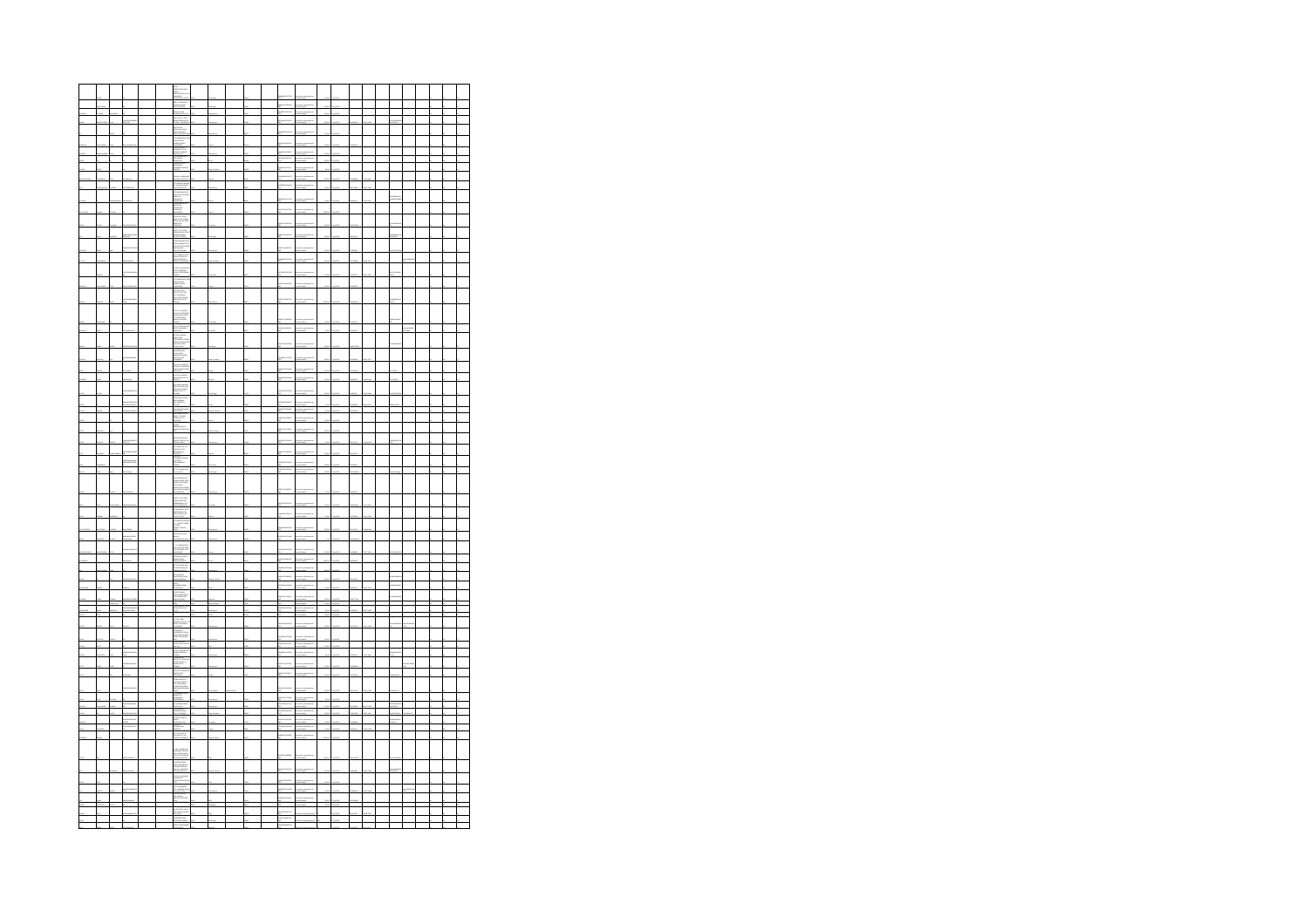|  |  |  | m             |  |  |                               |   |  |  |  |  |  |  |
|--|--|--|---------------|--|--|-------------------------------|---|--|--|--|--|--|--|
|  |  |  |               |  |  |                               |   |  |  |  |  |  |  |
|  |  |  |               |  |  |                               |   |  |  |  |  |  |  |
|  |  |  |               |  |  |                               |   |  |  |  |  |  |  |
|  |  |  |               |  |  |                               |   |  |  |  |  |  |  |
|  |  |  |               |  |  |                               |   |  |  |  |  |  |  |
|  |  |  |               |  |  |                               |   |  |  |  |  |  |  |
|  |  |  |               |  |  |                               |   |  |  |  |  |  |  |
|  |  |  |               |  |  |                               |   |  |  |  |  |  |  |
|  |  |  |               |  |  |                               |   |  |  |  |  |  |  |
|  |  |  |               |  |  |                               |   |  |  |  |  |  |  |
|  |  |  |               |  |  |                               |   |  |  |  |  |  |  |
|  |  |  |               |  |  |                               |   |  |  |  |  |  |  |
|  |  |  | ine.          |  |  |                               |   |  |  |  |  |  |  |
|  |  |  |               |  |  |                               |   |  |  |  |  |  |  |
|  |  |  |               |  |  |                               |   |  |  |  |  |  |  |
|  |  |  |               |  |  |                               |   |  |  |  |  |  |  |
|  |  |  |               |  |  |                               |   |  |  |  |  |  |  |
|  |  |  |               |  |  |                               |   |  |  |  |  |  |  |
|  |  |  |               |  |  |                               |   |  |  |  |  |  |  |
|  |  |  |               |  |  |                               |   |  |  |  |  |  |  |
|  |  |  |               |  |  |                               |   |  |  |  |  |  |  |
|  |  |  |               |  |  |                               |   |  |  |  |  |  |  |
|  |  |  |               |  |  |                               |   |  |  |  |  |  |  |
|  |  |  |               |  |  |                               |   |  |  |  |  |  |  |
|  |  |  |               |  |  |                               |   |  |  |  |  |  |  |
|  |  |  |               |  |  |                               |   |  |  |  |  |  |  |
|  |  |  |               |  |  |                               |   |  |  |  |  |  |  |
|  |  |  |               |  |  |                               |   |  |  |  |  |  |  |
|  |  |  |               |  |  |                               |   |  |  |  |  |  |  |
|  |  |  |               |  |  |                               |   |  |  |  |  |  |  |
|  |  |  |               |  |  |                               |   |  |  |  |  |  |  |
|  |  |  |               |  |  |                               |   |  |  |  |  |  |  |
|  |  |  |               |  |  |                               |   |  |  |  |  |  |  |
|  |  |  |               |  |  |                               |   |  |  |  |  |  |  |
|  |  |  |               |  |  |                               |   |  |  |  |  |  |  |
|  |  |  |               |  |  |                               |   |  |  |  |  |  |  |
|  |  |  |               |  |  |                               |   |  |  |  |  |  |  |
|  |  |  |               |  |  |                               |   |  |  |  |  |  |  |
|  |  |  |               |  |  |                               |   |  |  |  |  |  |  |
|  |  |  |               |  |  |                               |   |  |  |  |  |  |  |
|  |  |  |               |  |  |                               |   |  |  |  |  |  |  |
|  |  |  |               |  |  |                               |   |  |  |  |  |  |  |
|  |  |  |               |  |  |                               |   |  |  |  |  |  |  |
|  |  |  | <b>COLOR</b>  |  |  |                               |   |  |  |  |  |  |  |
|  |  |  |               |  |  |                               |   |  |  |  |  |  |  |
|  |  |  |               |  |  |                               |   |  |  |  |  |  |  |
|  |  |  |               |  |  |                               |   |  |  |  |  |  |  |
|  |  |  |               |  |  |                               |   |  |  |  |  |  |  |
|  |  |  |               |  |  |                               |   |  |  |  |  |  |  |
|  |  |  |               |  |  |                               |   |  |  |  |  |  |  |
|  |  |  |               |  |  |                               |   |  |  |  |  |  |  |
|  |  |  |               |  |  |                               |   |  |  |  |  |  |  |
|  |  |  |               |  |  |                               |   |  |  |  |  |  |  |
|  |  |  |               |  |  |                               |   |  |  |  |  |  |  |
|  |  |  |               |  |  |                               |   |  |  |  |  |  |  |
|  |  |  |               |  |  |                               |   |  |  |  |  |  |  |
|  |  |  |               |  |  |                               |   |  |  |  |  |  |  |
|  |  |  |               |  |  |                               |   |  |  |  |  |  |  |
|  |  |  |               |  |  |                               |   |  |  |  |  |  |  |
|  |  |  |               |  |  |                               |   |  |  |  |  |  |  |
|  |  |  |               |  |  |                               |   |  |  |  |  |  |  |
|  |  |  |               |  |  |                               |   |  |  |  |  |  |  |
|  |  |  |               |  |  |                               |   |  |  |  |  |  |  |
|  |  |  |               |  |  |                               |   |  |  |  |  |  |  |
|  |  |  |               |  |  |                               |   |  |  |  |  |  |  |
|  |  |  |               |  |  |                               |   |  |  |  |  |  |  |
|  |  |  |               |  |  |                               |   |  |  |  |  |  |  |
|  |  |  |               |  |  |                               |   |  |  |  |  |  |  |
|  |  |  |               |  |  |                               |   |  |  |  |  |  |  |
|  |  |  |               |  |  |                               |   |  |  |  |  |  |  |
|  |  |  |               |  |  |                               |   |  |  |  |  |  |  |
|  |  |  |               |  |  |                               |   |  |  |  |  |  |  |
|  |  |  |               |  |  |                               |   |  |  |  |  |  |  |
|  |  |  |               |  |  |                               |   |  |  |  |  |  |  |
|  |  |  |               |  |  |                               |   |  |  |  |  |  |  |
|  |  |  |               |  |  |                               |   |  |  |  |  |  |  |
|  |  |  |               |  |  |                               |   |  |  |  |  |  |  |
|  |  |  |               |  |  |                               |   |  |  |  |  |  |  |
|  |  |  |               |  |  |                               |   |  |  |  |  |  |  |
|  |  |  |               |  |  |                               |   |  |  |  |  |  |  |
|  |  |  |               |  |  |                               |   |  |  |  |  |  |  |
|  |  |  |               |  |  |                               |   |  |  |  |  |  |  |
|  |  |  |               |  |  |                               |   |  |  |  |  |  |  |
|  |  |  |               |  |  |                               |   |  |  |  |  |  |  |
|  |  |  |               |  |  |                               |   |  |  |  |  |  |  |
|  |  |  | $\equiv$<br>ŀ |  |  | Γ<br>$\overline{\phantom{a}}$ | I |  |  |  |  |  |  |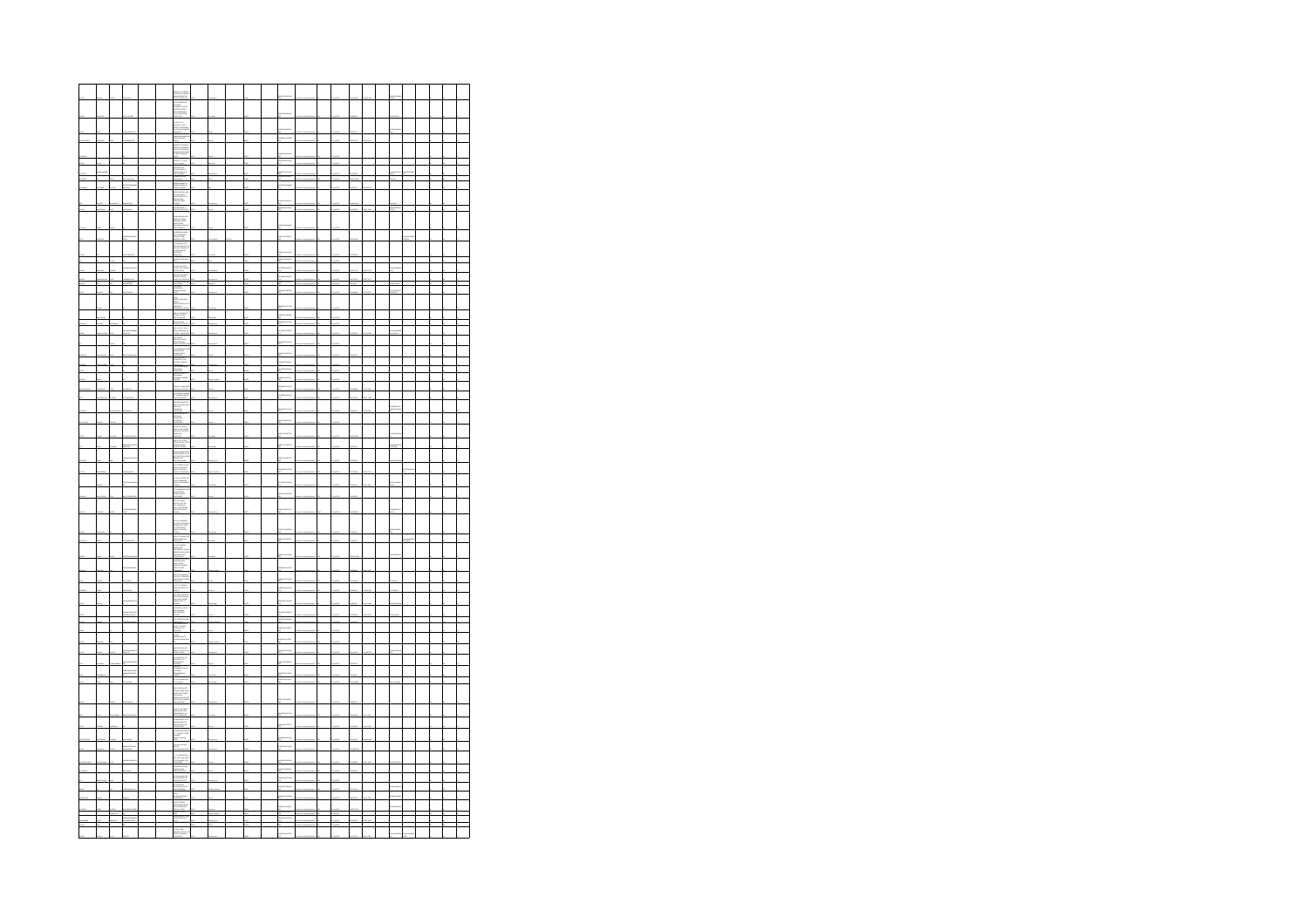|  |  |  | in i                                                                                   |  |  |       |  |  |  |   |  |  |
|--|--|--|----------------------------------------------------------------------------------------|--|--|-------|--|--|--|---|--|--|
|  |  |  |                                                                                        |  |  |       |  |  |  |   |  |  |
|  |  |  |                                                                                        |  |  |       |  |  |  |   |  |  |
|  |  |  |                                                                                        |  |  |       |  |  |  |   |  |  |
|  |  |  |                                                                                        |  |  |       |  |  |  |   |  |  |
|  |  |  | e de Tara<br>contrato<br>com a los<br>chasternos                                       |  |  |       |  |  |  |   |  |  |
|  |  |  | en.                                                                                    |  |  |       |  |  |  |   |  |  |
|  |  |  |                                                                                        |  |  |       |  |  |  |   |  |  |
|  |  |  |                                                                                        |  |  |       |  |  |  |   |  |  |
|  |  |  |                                                                                        |  |  |       |  |  |  |   |  |  |
|  |  |  |                                                                                        |  |  |       |  |  |  |   |  |  |
|  |  |  | ÷<br>E                                                                                 |  |  |       |  |  |  |   |  |  |
|  |  |  |                                                                                        |  |  |       |  |  |  |   |  |  |
|  |  |  |                                                                                        |  |  |       |  |  |  |   |  |  |
|  |  |  | men.<br>Time                                                                           |  |  |       |  |  |  |   |  |  |
|  |  |  |                                                                                        |  |  |       |  |  |  |   |  |  |
|  |  |  |                                                                                        |  |  |       |  |  |  |   |  |  |
|  |  |  |                                                                                        |  |  |       |  |  |  |   |  |  |
|  |  |  |                                                                                        |  |  |       |  |  |  |   |  |  |
|  |  |  |                                                                                        |  |  |       |  |  |  |   |  |  |
|  |  |  |                                                                                        |  |  |       |  |  |  |   |  |  |
|  |  |  |                                                                                        |  |  |       |  |  |  |   |  |  |
|  |  |  |                                                                                        |  |  |       |  |  |  |   |  |  |
|  |  |  | amanon.<br>Manazarta                                                                   |  |  |       |  |  |  |   |  |  |
|  |  |  |                                                                                        |  |  |       |  |  |  |   |  |  |
|  |  |  |                                                                                        |  |  |       |  |  |  |   |  |  |
|  |  |  | 1.4 Madrid<br>NY JASON<br>NY SIMBAD                                                    |  |  |       |  |  |  |   |  |  |
|  |  |  |                                                                                        |  |  |       |  |  |  |   |  |  |
|  |  |  |                                                                                        |  |  | aman. |  |  |  |   |  |  |
|  |  |  |                                                                                        |  |  |       |  |  |  |   |  |  |
|  |  |  |                                                                                        |  |  |       |  |  |  |   |  |  |
|  |  |  |                                                                                        |  |  |       |  |  |  |   |  |  |
|  |  |  |                                                                                        |  |  |       |  |  |  |   |  |  |
|  |  |  | ≒                                                                                      |  |  |       |  |  |  |   |  |  |
|  |  |  |                                                                                        |  |  |       |  |  |  |   |  |  |
|  |  |  |                                                                                        |  |  |       |  |  |  |   |  |  |
|  |  |  |                                                                                        |  |  |       |  |  |  |   |  |  |
|  |  |  |                                                                                        |  |  |       |  |  |  |   |  |  |
|  |  |  |                                                                                        |  |  |       |  |  |  |   |  |  |
|  |  |  |                                                                                        |  |  |       |  |  |  |   |  |  |
|  |  |  | anananan                                                                               |  |  |       |  |  |  |   |  |  |
|  |  |  |                                                                                        |  |  |       |  |  |  |   |  |  |
|  |  |  | Ξ                                                                                      |  |  |       |  |  |  |   |  |  |
|  |  |  |                                                                                        |  |  |       |  |  |  |   |  |  |
|  |  |  | ÷                                                                                      |  |  |       |  |  |  |   |  |  |
|  |  |  | (1) 57 0.00                                                                            |  |  |       |  |  |  |   |  |  |
|  |  |  |                                                                                        |  |  |       |  |  |  |   |  |  |
|  |  |  |                                                                                        |  |  |       |  |  |  |   |  |  |
|  |  |  | $\frac{1}{2}$                                                                          |  |  |       |  |  |  |   |  |  |
|  |  |  | an<br>Saint                                                                            |  |  |       |  |  |  |   |  |  |
|  |  |  |                                                                                        |  |  |       |  |  |  |   |  |  |
|  |  |  | di Paulong<br>19 de januari -<br>19 de januari -<br>19 de januari -<br>19 de januari - |  |  |       |  |  |  |   |  |  |
|  |  |  |                                                                                        |  |  |       |  |  |  |   |  |  |
|  |  |  |                                                                                        |  |  |       |  |  |  |   |  |  |
|  |  |  |                                                                                        |  |  |       |  |  |  |   |  |  |
|  |  |  | sent support<br>colors, Parties<br>colors and modern<br>colors and                     |  |  |       |  |  |  |   |  |  |
|  |  |  |                                                                                        |  |  |       |  |  |  |   |  |  |
|  |  |  |                                                                                        |  |  |       |  |  |  |   |  |  |
|  |  |  | ÷                                                                                      |  |  |       |  |  |  |   |  |  |
|  |  |  |                                                                                        |  |  |       |  |  |  |   |  |  |
|  |  |  |                                                                                        |  |  |       |  |  |  | ÷ |  |  |
|  |  |  |                                                                                        |  |  |       |  |  |  |   |  |  |
|  |  |  |                                                                                        |  |  |       |  |  |  |   |  |  |
|  |  |  |                                                                                        |  |  |       |  |  |  |   |  |  |
|  |  |  |                                                                                        |  |  |       |  |  |  |   |  |  |
|  |  |  |                                                                                        |  |  |       |  |  |  |   |  |  |
|  |  |  |                                                                                        |  |  |       |  |  |  |   |  |  |
|  |  |  | 027 MARCH<br>1706년 10월<br>1708 Marc                                                    |  |  |       |  |  |  |   |  |  |
|  |  |  |                                                                                        |  |  |       |  |  |  |   |  |  |
|  |  |  | Į.                                                                                     |  |  |       |  |  |  |   |  |  |
|  |  |  |                                                                                        |  |  |       |  |  |  |   |  |  |
|  |  |  | $\frac{1}{2}$                                                                          |  |  |       |  |  |  |   |  |  |
|  |  |  |                                                                                        |  |  |       |  |  |  |   |  |  |
|  |  |  |                                                                                        |  |  |       |  |  |  |   |  |  |
|  |  |  |                                                                                        |  |  |       |  |  |  |   |  |  |
|  |  |  | $\overline{a}$                                                                         |  |  |       |  |  |  |   |  |  |
|  |  |  | i<br>Milita<br>Milita                                                                  |  |  |       |  |  |  |   |  |  |
|  |  |  |                                                                                        |  |  |       |  |  |  |   |  |  |
|  |  |  |                                                                                        |  |  |       |  |  |  |   |  |  |
|  |  |  | mente<br>Balti                                                                         |  |  |       |  |  |  |   |  |  |
|  |  |  |                                                                                        |  |  |       |  |  |  |   |  |  |
|  |  |  | ÷.                                                                                     |  |  |       |  |  |  |   |  |  |
|  |  |  |                                                                                        |  |  |       |  |  |  |   |  |  |
|  |  |  |                                                                                        |  |  |       |  |  |  |   |  |  |
|  |  |  |                                                                                        |  |  |       |  |  |  |   |  |  |
|  |  |  |                                                                                        |  |  |       |  |  |  |   |  |  |
|  |  |  |                                                                                        |  |  |       |  |  |  |   |  |  |
|  |  |  |                                                                                        |  |  |       |  |  |  |   |  |  |
|  |  |  |                                                                                        |  |  |       |  |  |  |   |  |  |
|  |  |  |                                                                                        |  |  |       |  |  |  |   |  |  |
|  |  |  |                                                                                        |  |  |       |  |  |  |   |  |  |
|  |  |  |                                                                                        |  |  |       |  |  |  |   |  |  |
|  |  |  |                                                                                        |  |  |       |  |  |  |   |  |  |
|  |  |  |                                                                                        |  |  |       |  |  |  |   |  |  |
|  |  |  |                                                                                        |  |  |       |  |  |  |   |  |  |
|  |  |  |                                                                                        |  |  |       |  |  |  |   |  |  |
|  |  |  |                                                                                        |  |  |       |  |  |  |   |  |  |
|  |  |  |                                                                                        |  |  |       |  |  |  |   |  |  |
|  |  |  |                                                                                        |  |  |       |  |  |  |   |  |  |
|  |  |  |                                                                                        |  |  |       |  |  |  |   |  |  |
|  |  |  |                                                                                        |  |  |       |  |  |  |   |  |  |
|  |  |  |                                                                                        |  |  |       |  |  |  |   |  |  |
|  |  |  |                                                                                        |  |  |       |  |  |  |   |  |  |
|  |  |  |                                                                                        |  |  |       |  |  |  |   |  |  |
|  |  |  |                                                                                        |  |  |       |  |  |  |   |  |  |